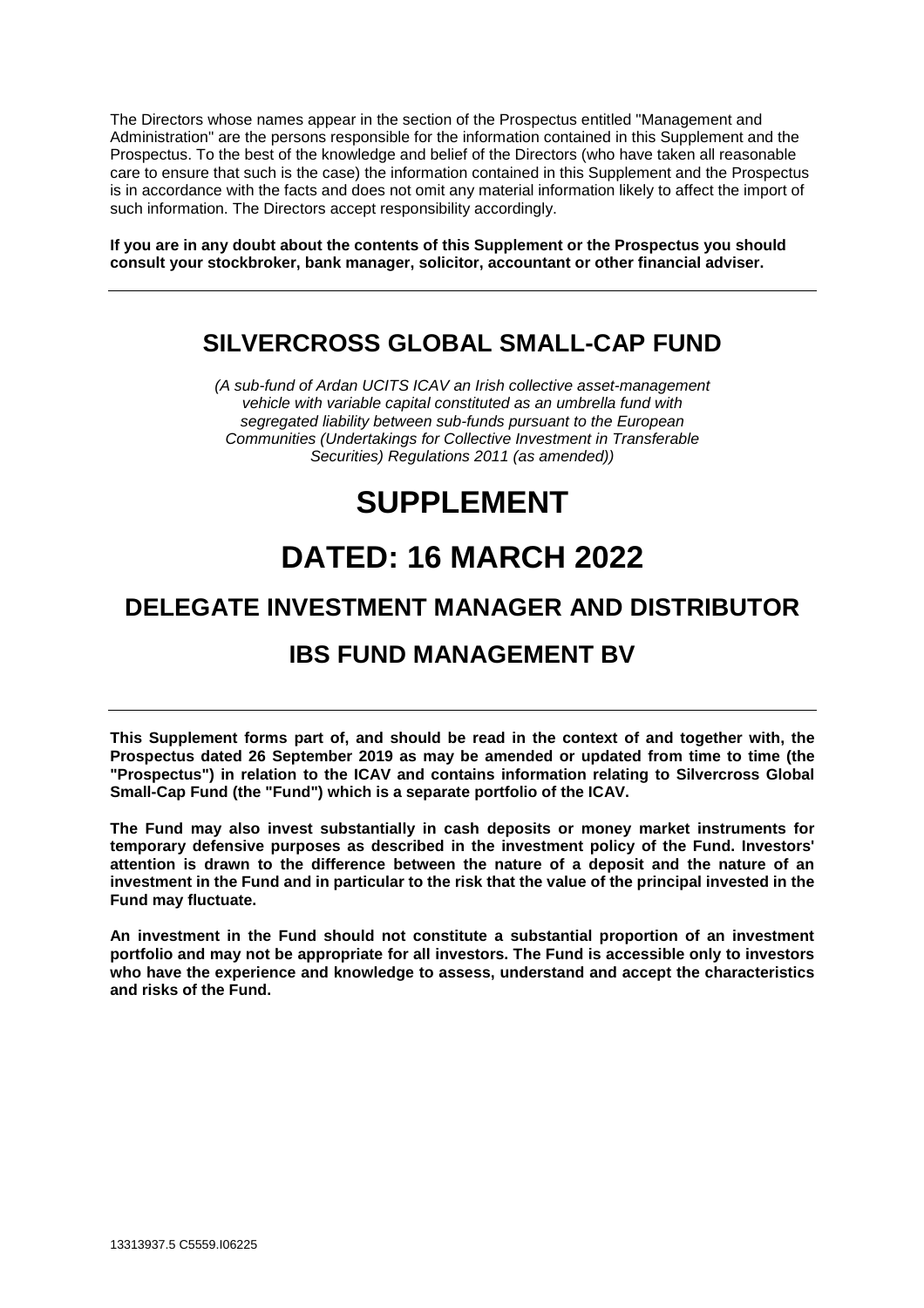The Directors whose names appear in the section of the Prospectus entitled "Management and Administration" are the persons responsible for the information contained in this Supplement and the Prospectus. To the best of the knowledge and belief of the Directors (who have taken all reasonable care to ensure that such is the case) the information contained in this Supplement and the Prospectus is in accordance with the facts and does not omit any material information likely to affect the import of such information. The Directors accept responsibility accordingly.

**If you are in any doubt about the contents of this Supplement or the Prospectus you should consult your stockbroker, bank manager, solicitor, accountant or other financial adviser.** 

# **SILVERCROSS GLOBAL SMALL-CAP FUND**

*(A sub-fund of Ardan UCITS ICAV an Irish collective asset-management vehicle with variable capital constituted as an umbrella fund with segregated liability between sub-funds pursuant to the European Communities (Undertakings for Collective Investment in Transferable Securities) Regulations 2011 (as amended))* 

# **SUPPLEMENT**

# **DATED: 16 MARCH 2022**

# **DELEGATE INVESTMENT MANAGER AND DISTRIBUTOR**

# **IBS FUND MANAGEMENT BV**

**This Supplement forms part of, and should be read in the context of and together with, the Prospectus dated 26 September 2019 as may be amended or updated from time to time (the "Prospectus") in relation to the ICAV and contains information relating to Silvercross Global Small-Cap Fund (the "Fund") which is a separate portfolio of the ICAV.** 

**The Fund may also invest substantially in cash deposits or money market instruments for temporary defensive purposes as described in the investment policy of the Fund. Investors' attention is drawn to the difference between the nature of a deposit and the nature of an investment in the Fund and in particular to the risk that the value of the principal invested in the Fund may fluctuate.** 

**An investment in the Fund should not constitute a substantial proportion of an investment portfolio and may not be appropriate for all investors. The Fund is accessible only to investors who have the experience and knowledge to assess, understand and accept the characteristics and risks of the Fund.**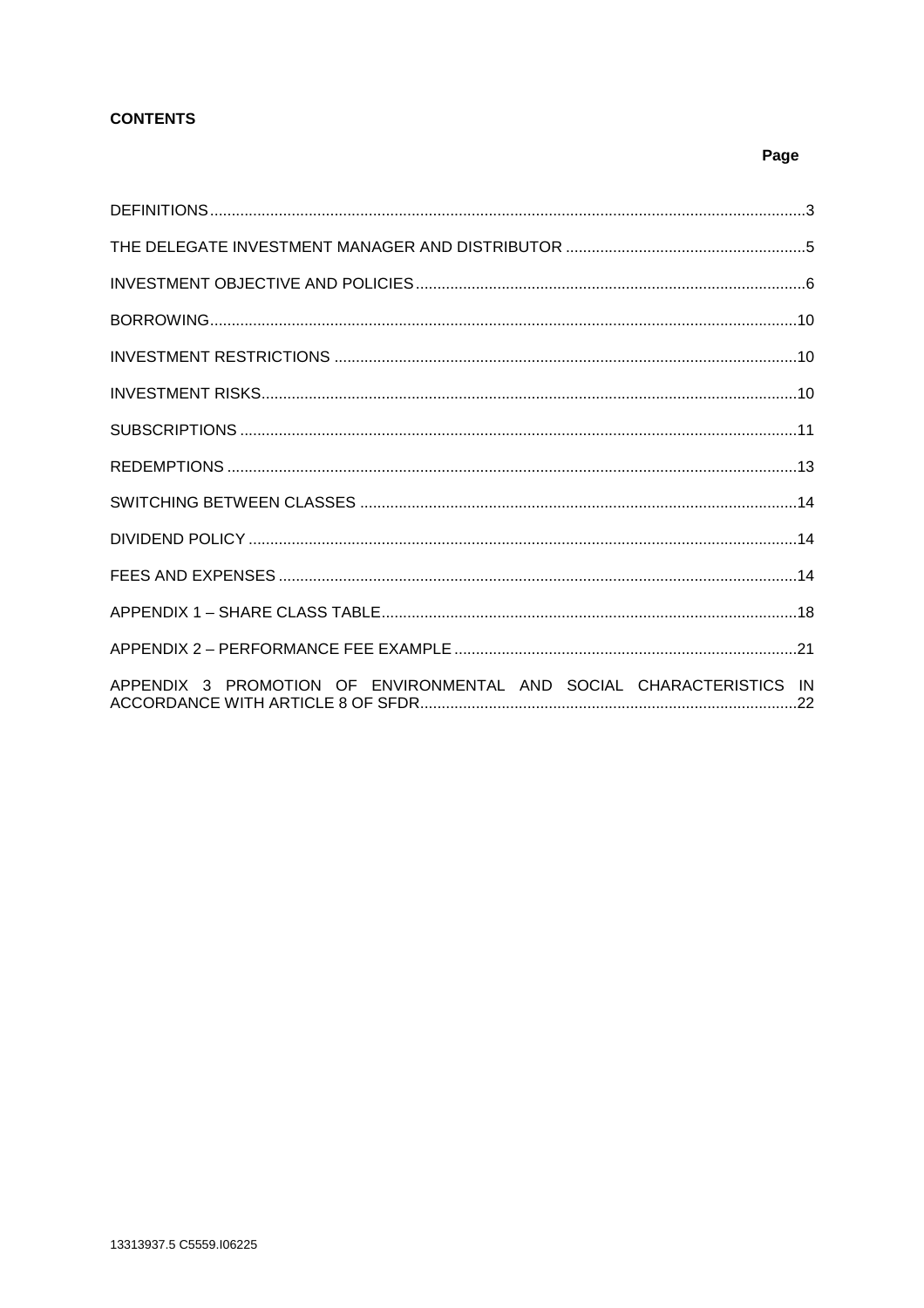# **CONTENTS**

# Page

| APPENDIX 3 PROMOTION OF ENVIRONMENTAL AND SOCIAL CHARACTERISTICS IN |  |
|---------------------------------------------------------------------|--|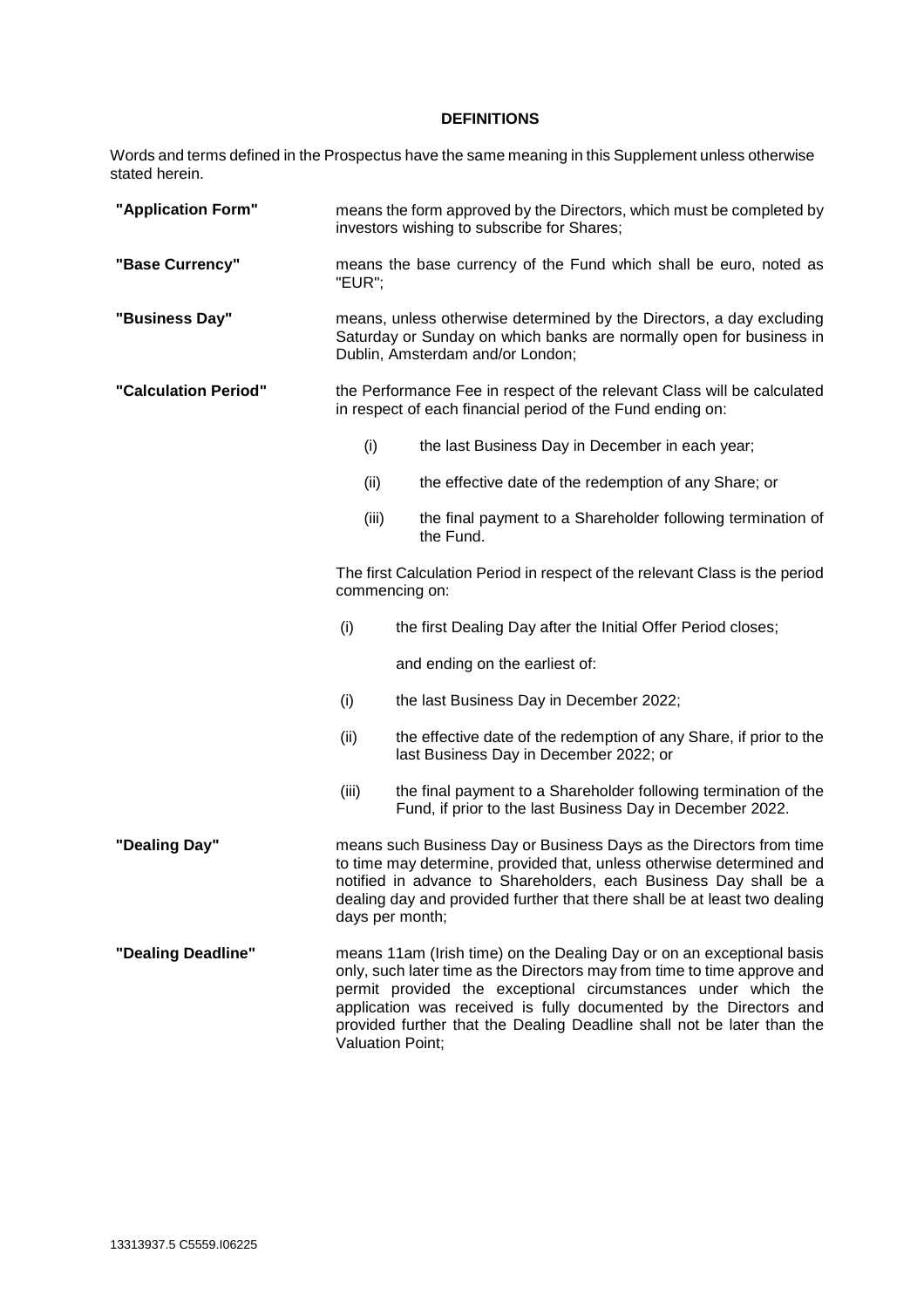# **DEFINITIONS**

Words and terms defined in the Prospectus have the same meaning in this Supplement unless otherwise stated herein.

| "Application Form"   | means the form approved by the Directors, which must be completed by<br>investors wishing to subscribe for Shares;                                                                                                                                                                                                                                                                           |                                                                                                                                                                                                                                                                                                                   |  |  |  |  |  |
|----------------------|----------------------------------------------------------------------------------------------------------------------------------------------------------------------------------------------------------------------------------------------------------------------------------------------------------------------------------------------------------------------------------------------|-------------------------------------------------------------------------------------------------------------------------------------------------------------------------------------------------------------------------------------------------------------------------------------------------------------------|--|--|--|--|--|
| "Base Currency"      | "EUR";                                                                                                                                                                                                                                                                                                                                                                                       | means the base currency of the Fund which shall be euro, noted as                                                                                                                                                                                                                                                 |  |  |  |  |  |
| "Business Day"       |                                                                                                                                                                                                                                                                                                                                                                                              | means, unless otherwise determined by the Directors, a day excluding<br>Saturday or Sunday on which banks are normally open for business in<br>Dublin, Amsterdam and/or London;                                                                                                                                   |  |  |  |  |  |
| "Calculation Period" |                                                                                                                                                                                                                                                                                                                                                                                              | the Performance Fee in respect of the relevant Class will be calculated<br>in respect of each financial period of the Fund ending on:                                                                                                                                                                             |  |  |  |  |  |
|                      | (i)                                                                                                                                                                                                                                                                                                                                                                                          | the last Business Day in December in each year;                                                                                                                                                                                                                                                                   |  |  |  |  |  |
|                      | (ii)                                                                                                                                                                                                                                                                                                                                                                                         | the effective date of the redemption of any Share; or                                                                                                                                                                                                                                                             |  |  |  |  |  |
|                      | (iii)                                                                                                                                                                                                                                                                                                                                                                                        | the final payment to a Shareholder following termination of<br>the Fund.                                                                                                                                                                                                                                          |  |  |  |  |  |
|                      | The first Calculation Period in respect of the relevant Class is the period<br>commencing on:                                                                                                                                                                                                                                                                                                |                                                                                                                                                                                                                                                                                                                   |  |  |  |  |  |
|                      | (i)                                                                                                                                                                                                                                                                                                                                                                                          | the first Dealing Day after the Initial Offer Period closes;                                                                                                                                                                                                                                                      |  |  |  |  |  |
|                      |                                                                                                                                                                                                                                                                                                                                                                                              | and ending on the earliest of:                                                                                                                                                                                                                                                                                    |  |  |  |  |  |
|                      | (i)                                                                                                                                                                                                                                                                                                                                                                                          | the last Business Day in December 2022;                                                                                                                                                                                                                                                                           |  |  |  |  |  |
|                      | (ii)                                                                                                                                                                                                                                                                                                                                                                                         | the effective date of the redemption of any Share, if prior to the<br>last Business Day in December 2022; or                                                                                                                                                                                                      |  |  |  |  |  |
|                      | (iii)                                                                                                                                                                                                                                                                                                                                                                                        | the final payment to a Shareholder following termination of the<br>Fund, if prior to the last Business Day in December 2022.                                                                                                                                                                                      |  |  |  |  |  |
| "Dealing Day"        |                                                                                                                                                                                                                                                                                                                                                                                              | means such Business Day or Business Days as the Directors from time<br>to time may determine, provided that, unless otherwise determined and<br>notified in advance to Shareholders, each Business Day shall be a<br>dealing day and provided further that there shall be at least two dealing<br>days per month; |  |  |  |  |  |
| "Dealing Deadline"   | means 11am (Irish time) on the Dealing Day or on an exceptional basis<br>only, such later time as the Directors may from time to time approve and<br>permit provided the exceptional circumstances under which the<br>application was received is fully documented by the Directors and<br>provided further that the Dealing Deadline shall not be later than the<br><b>Valuation Point;</b> |                                                                                                                                                                                                                                                                                                                   |  |  |  |  |  |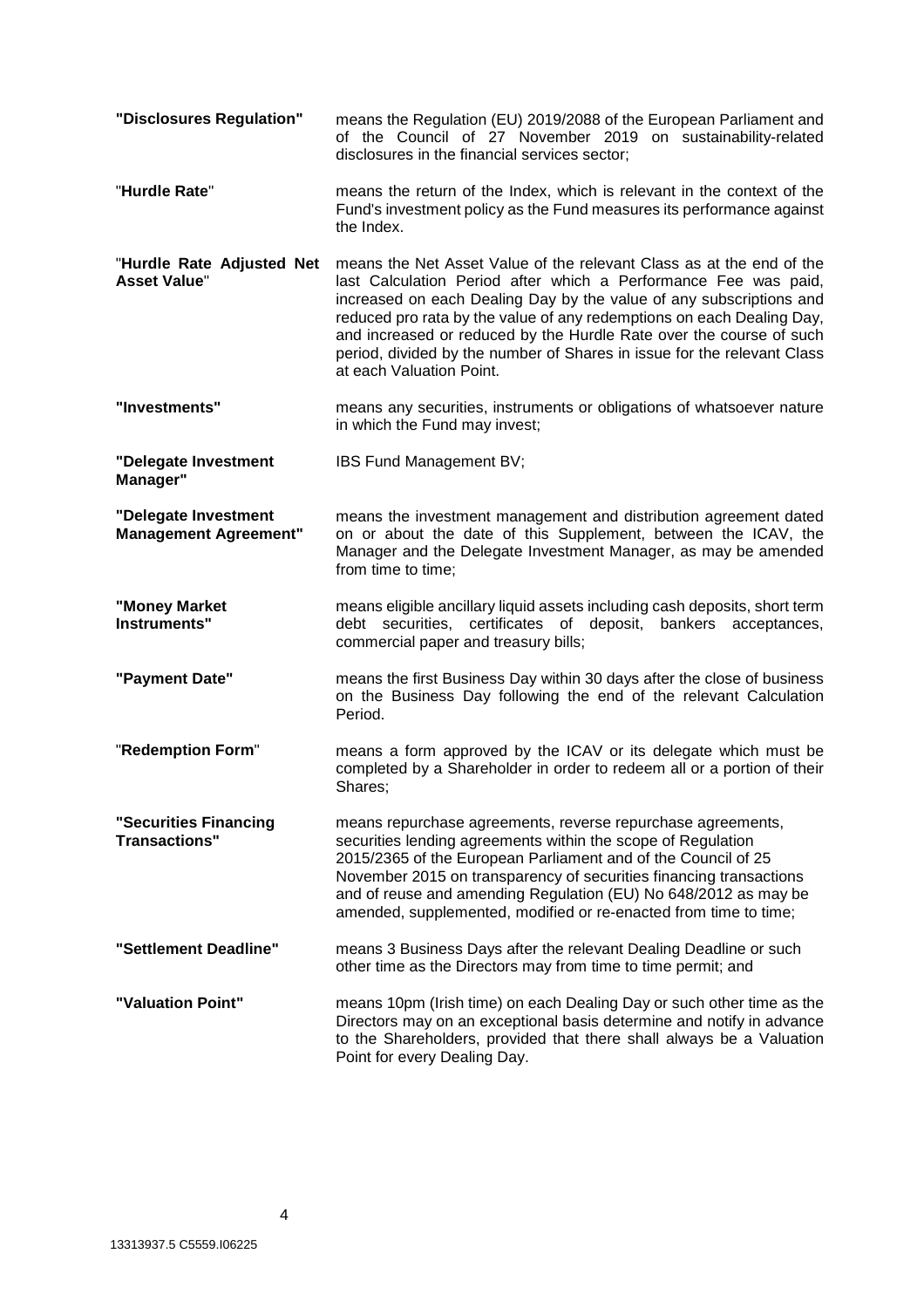**"Disclosures Regulation"** means the Regulation (EU) 2019/2088 of the European Parliament and of the Council of 27 November 2019 on sustainability-related disclosures in the financial services sector; "**Hurdle Rate**" means the return of the Index, which is relevant in the context of the Fund's investment policy as the Fund measures its performance against the Index. "**Hurdle Rate Adjusted Net Asset Value**" means the Net Asset Value of the relevant Class as at the end of the last Calculation Period after which a Performance Fee was paid, increased on each Dealing Day by the value of any subscriptions and reduced pro rata by the value of any redemptions on each Dealing Day, and increased or reduced by the Hurdle Rate over the course of such period, divided by the number of Shares in issue for the relevant Class at each Valuation Point. **"Investments"** means any securities, instruments or obligations of whatsoever nature in which the Fund may invest; **"Delegate Investment Manager"**  IBS Fund Management BV; **"Delegate Investment Management Agreement"**  means the investment management and distribution agreement dated on or about the date of this Supplement, between the ICAV, the Manager and the Delegate Investment Manager, as may be amended from time to time; **"Money Market Instruments"**  means eligible ancillary liquid assets including cash deposits, short term debt securities, certificates of deposit, bankers acceptances, commercial paper and treasury bills; **"Payment Date"** means the first Business Day within 30 days after the close of business on the Business Day following the end of the relevant Calculation Period. "**Redemption Form**" means a form approved by the ICAV or its delegate which must be completed by a Shareholder in order to redeem all or a portion of their Shares; **"Securities Financing Transactions"**  means repurchase agreements, reverse repurchase agreements, securities lending agreements within the scope of Regulation 2015/2365 of the European Parliament and of the Council of 25 November 2015 on transparency of securities financing transactions and of reuse and amending Regulation (EU) No 648/2012 as may be amended, supplemented, modified or re-enacted from time to time; **"Settlement Deadline"** means 3 Business Days after the relevant Dealing Deadline or such other time as the Directors may from time to time permit; and **"Valuation Point"** means 10pm (Irish time) on each Dealing Day or such other time as the Directors may on an exceptional basis determine and notify in advance to the Shareholders, provided that there shall always be a Valuation Point for every Dealing Day.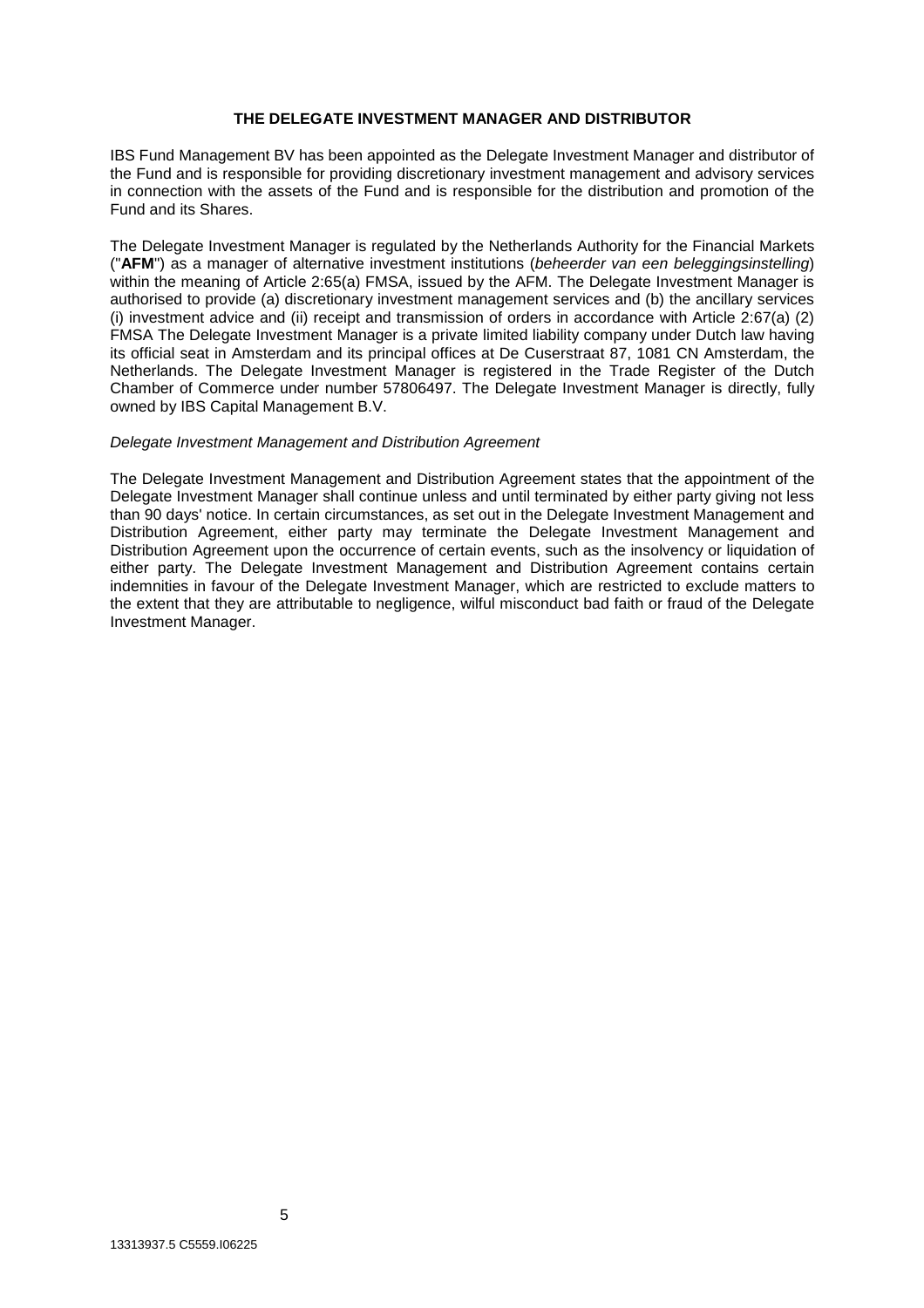#### **THE DELEGATE INVESTMENT MANAGER AND DISTRIBUTOR**

IBS Fund Management BV has been appointed as the Delegate Investment Manager and distributor of the Fund and is responsible for providing discretionary investment management and advisory services in connection with the assets of the Fund and is responsible for the distribution and promotion of the Fund and its Shares.

The Delegate Investment Manager is regulated by the Netherlands Authority for the Financial Markets ("**AFM**") as a manager of alternative investment institutions (*beheerder van een beleggingsinstelling*) within the meaning of Article 2:65(a) FMSA, issued by the AFM. The Delegate Investment Manager is authorised to provide (a) discretionary investment management services and (b) the ancillary services (i) investment advice and (ii) receipt and transmission of orders in accordance with Article 2:67(a) (2) FMSA The Delegate Investment Manager is a private limited liability company under Dutch law having its official seat in Amsterdam and its principal offices at De Cuserstraat 87, 1081 CN Amsterdam, the Netherlands. The Delegate Investment Manager is registered in the Trade Register of the Dutch Chamber of Commerce under number 57806497. The Delegate Investment Manager is directly, fully owned by IBS Capital Management B.V.

#### *Delegate Investment Management and Distribution Agreement*

The Delegate Investment Management and Distribution Agreement states that the appointment of the Delegate Investment Manager shall continue unless and until terminated by either party giving not less than 90 days' notice. In certain circumstances, as set out in the Delegate Investment Management and Distribution Agreement, either party may terminate the Delegate Investment Management and Distribution Agreement upon the occurrence of certain events, such as the insolvency or liquidation of either party. The Delegate Investment Management and Distribution Agreement contains certain indemnities in favour of the Delegate Investment Manager, which are restricted to exclude matters to the extent that they are attributable to negligence, wilful misconduct bad faith or fraud of the Delegate Investment Manager.

5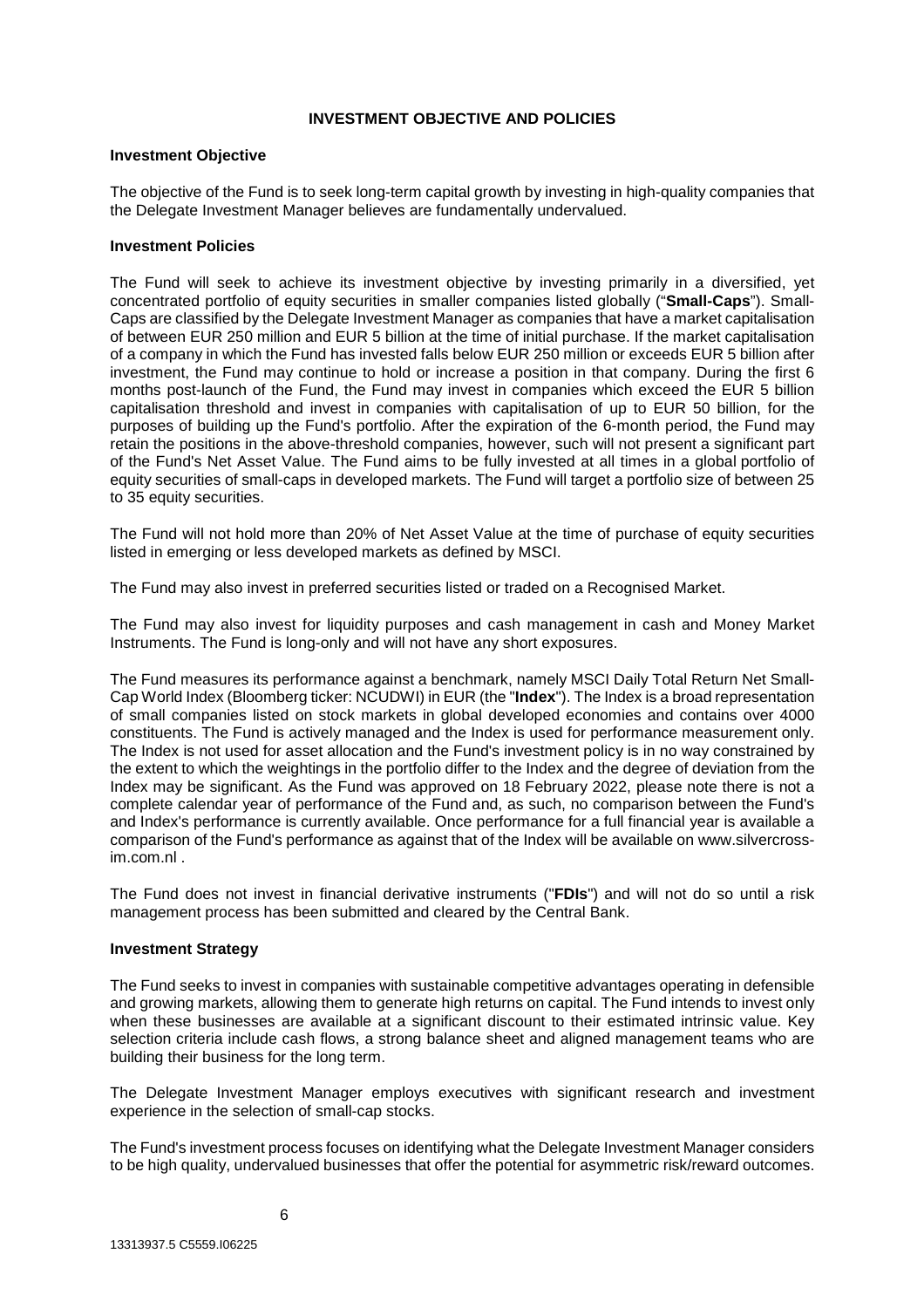#### **INVESTMENT OBJECTIVE AND POLICIES**

#### **Investment Objective**

The objective of the Fund is to seek long-term capital growth by investing in high-quality companies that the Delegate Investment Manager believes are fundamentally undervalued.

# **Investment Policies**

The Fund will seek to achieve its investment objective by investing primarily in a diversified, yet concentrated portfolio of equity securities in smaller companies listed globally ("**Small-Caps**"). Small-Caps are classified by the Delegate Investment Manager as companies that have a market capitalisation of between EUR 250 million and EUR 5 billion at the time of initial purchase. If the market capitalisation of a company in which the Fund has invested falls below EUR 250 million or exceeds EUR 5 billion after investment, the Fund may continue to hold or increase a position in that company. During the first 6 months post-launch of the Fund, the Fund may invest in companies which exceed the EUR 5 billion capitalisation threshold and invest in companies with capitalisation of up to EUR 50 billion, for the purposes of building up the Fund's portfolio. After the expiration of the 6-month period, the Fund may retain the positions in the above-threshold companies, however, such will not present a significant part of the Fund's Net Asset Value. The Fund aims to be fully invested at all times in a global portfolio of equity securities of small-caps in developed markets. The Fund will target a portfolio size of between 25 to 35 equity securities.

The Fund will not hold more than 20% of Net Asset Value at the time of purchase of equity securities listed in emerging or less developed markets as defined by MSCI.

The Fund may also invest in preferred securities listed or traded on a Recognised Market.

The Fund may also invest for liquidity purposes and cash management in cash and Money Market Instruments. The Fund is long-only and will not have any short exposures.

The Fund measures its performance against a benchmark, namely MSCI Daily Total Return Net Small-Cap World Index (Bloomberg ticker: NCUDWI) in EUR (the "**Index**"). The Index is a broad representation of small companies listed on stock markets in global developed economies and contains over 4000 constituents. The Fund is actively managed and the Index is used for performance measurement only. The Index is not used for asset allocation and the Fund's investment policy is in no way constrained by the extent to which the weightings in the portfolio differ to the Index and the degree of deviation from the Index may be significant. As the Fund was approved on 18 February 2022, please note there is not a complete calendar year of performance of the Fund and, as such, no comparison between the Fund's and Index's performance is currently available. Once performance for a full financial year is available a comparison of the Fund's performance as against that of the Index will be available on www.silvercrossim.com.nl .

The Fund does not invest in financial derivative instruments ("**FDIs**") and will not do so until a risk management process has been submitted and cleared by the Central Bank.

#### **Investment Strategy**

The Fund seeks to invest in companies with sustainable competitive advantages operating in defensible and growing markets, allowing them to generate high returns on capital. The Fund intends to invest only when these businesses are available at a significant discount to their estimated intrinsic value. Key selection criteria include cash flows, a strong balance sheet and aligned management teams who are building their business for the long term.

The Delegate Investment Manager employs executives with significant research and investment experience in the selection of small-cap stocks.

The Fund's investment process focuses on identifying what the Delegate Investment Manager considers to be high quality, undervalued businesses that offer the potential for asymmetric risk/reward outcomes.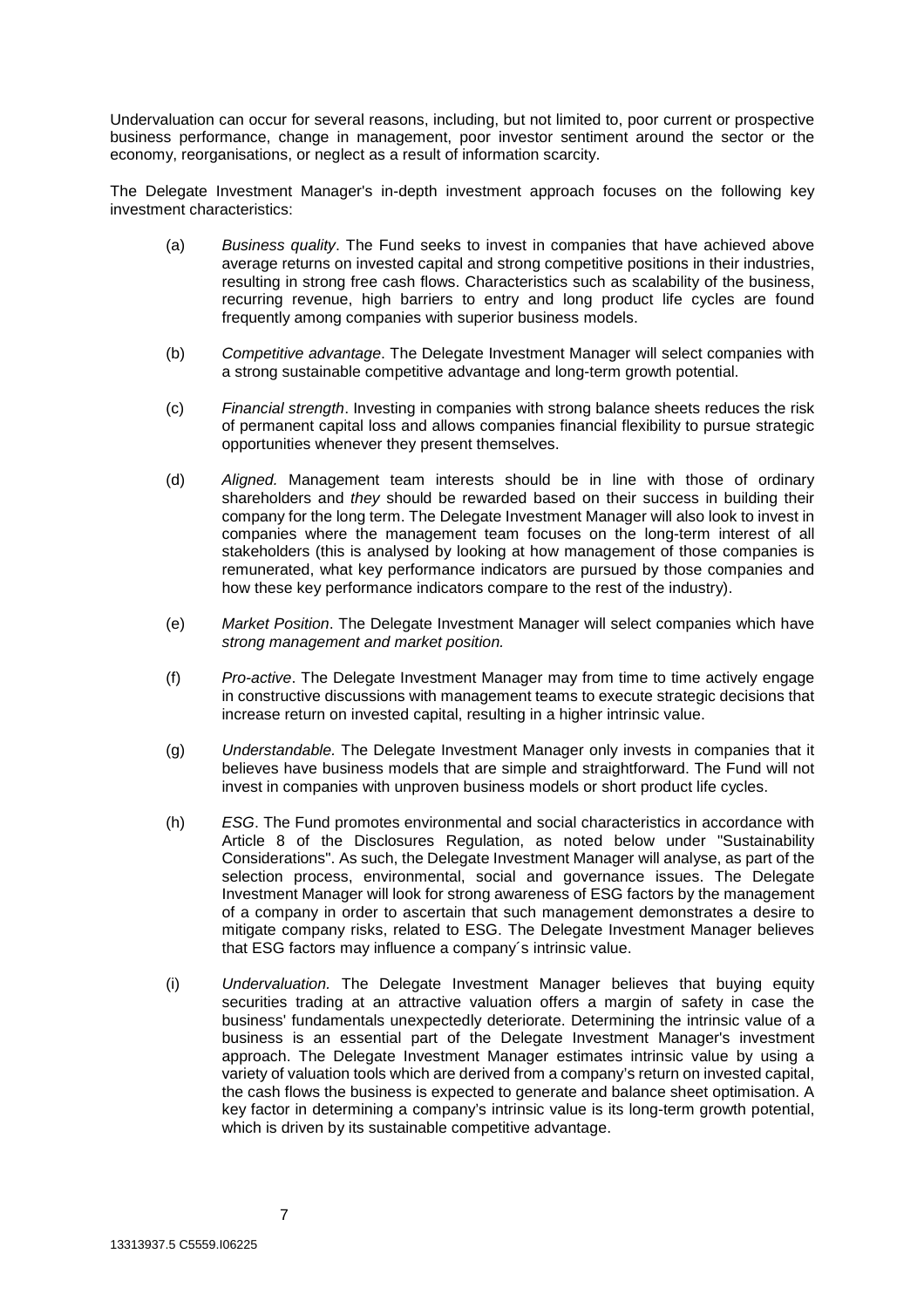Undervaluation can occur for several reasons, including, but not limited to, poor current or prospective business performance, change in management, poor investor sentiment around the sector or the economy, reorganisations, or neglect as a result of information scarcity.

The Delegate Investment Manager's in-depth investment approach focuses on the following key investment characteristics:

- (a) *Business quality*. The Fund seeks to invest in companies that have achieved above average returns on invested capital and strong competitive positions in their industries, resulting in strong free cash flows. Characteristics such as scalability of the business, recurring revenue, high barriers to entry and long product life cycles are found frequently among companies with superior business models.
- (b) *Competitive advantage*. The Delegate Investment Manager will select companies with a strong sustainable competitive advantage and long-term growth potential.
- (c) *Financial strength*. Investing in companies with strong balance sheets reduces the risk of permanent capital loss and allows companies financial flexibility to pursue strategic opportunities whenever they present themselves.
- (d) *Aligned.* Management team interests should be in line with those of ordinary shareholders and *they* should be rewarded based on their success in building their company for the long term. The Delegate Investment Manager will also look to invest in companies where the management team focuses on the long-term interest of all stakeholders (this is analysed by looking at how management of those companies is remunerated, what key performance indicators are pursued by those companies and how these key performance indicators compare to the rest of the industry).
- (e) *Market Position*. The Delegate Investment Manager will select companies which have *strong management and market position.*
- (f) *Pro-active*. The Delegate Investment Manager may from time to time actively engage in constructive discussions with management teams to execute strategic decisions that increase return on invested capital, resulting in a higher intrinsic value.
- (g) *Understandable.* The Delegate Investment Manager only invests in companies that it believes have business models that are simple and straightforward. The Fund will not invest in companies with unproven business models or short product life cycles.
- (h) *ESG*. The Fund promotes environmental and social characteristics in accordance with Article 8 of the Disclosures Regulation, as noted below under "Sustainability Considerations". As such, the Delegate Investment Manager will analyse, as part of the selection process, environmental, social and governance issues. The Delegate Investment Manager will look for strong awareness of ESG factors by the management of a company in order to ascertain that such management demonstrates a desire to mitigate company risks, related to ESG. The Delegate Investment Manager believes that ESG factors may influence a company´s intrinsic value.
- (i) *Undervaluation.* The Delegate Investment Manager believes that buying equity securities trading at an attractive valuation offers a margin of safety in case the business' fundamentals unexpectedly deteriorate. Determining the intrinsic value of a business is an essential part of the Delegate Investment Manager's investment approach. The Delegate Investment Manager estimates intrinsic value by using a variety of valuation tools which are derived from a company's return on invested capital, the cash flows the business is expected to generate and balance sheet optimisation. A key factor in determining a company's intrinsic value is its long-term growth potential, which is driven by its sustainable competitive advantage.

7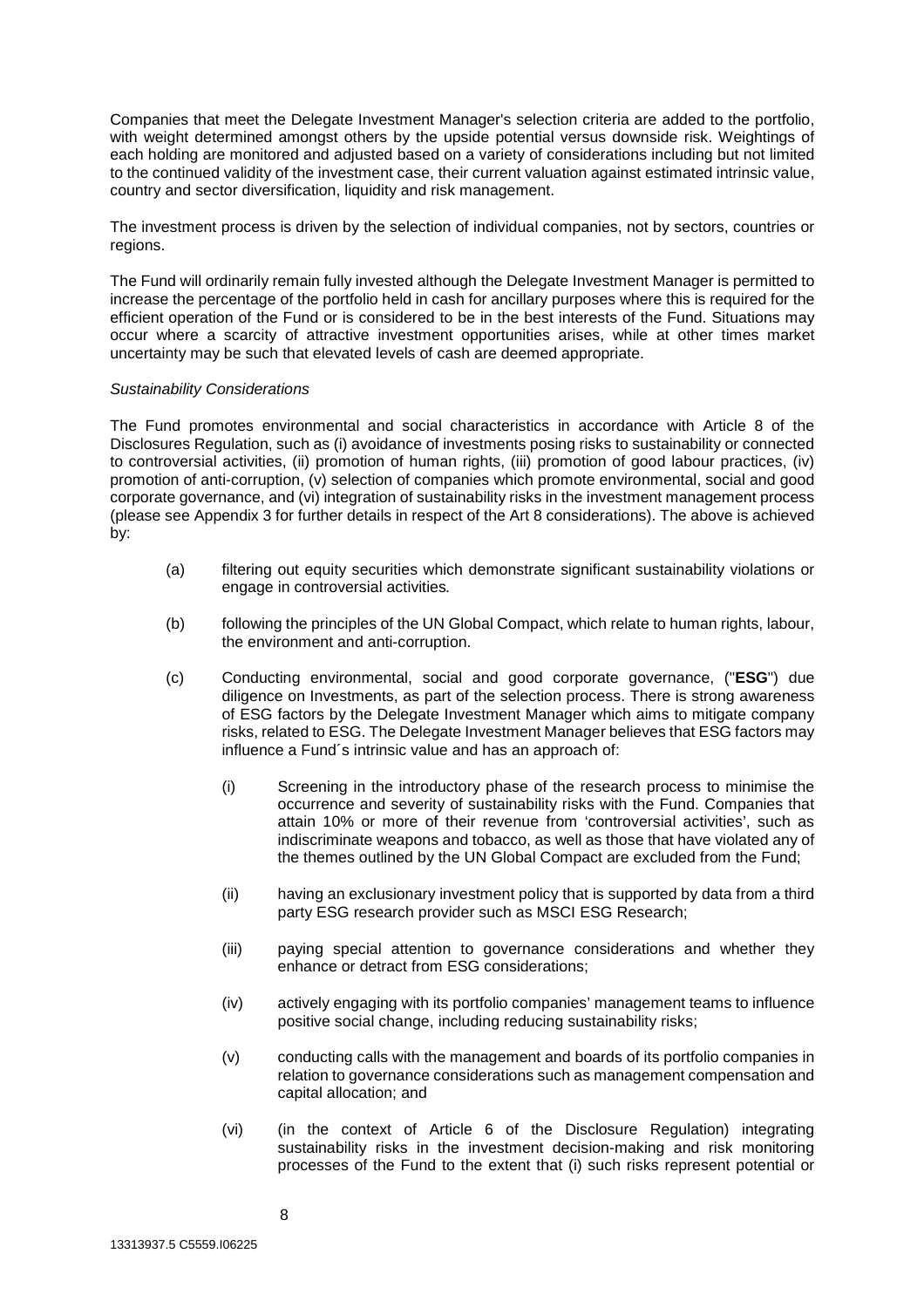Companies that meet the Delegate Investment Manager's selection criteria are added to the portfolio, with weight determined amongst others by the upside potential versus downside risk. Weightings of each holding are monitored and adjusted based on a variety of considerations including but not limited to the continued validity of the investment case, their current valuation against estimated intrinsic value, country and sector diversification, liquidity and risk management.

The investment process is driven by the selection of individual companies, not by sectors, countries or regions.

The Fund will ordinarily remain fully invested although the Delegate Investment Manager is permitted to increase the percentage of the portfolio held in cash for ancillary purposes where this is required for the efficient operation of the Fund or is considered to be in the best interests of the Fund. Situations may occur where a scarcity of attractive investment opportunities arises, while at other times market uncertainty may be such that elevated levels of cash are deemed appropriate.

#### *Sustainability Considerations*

The Fund promotes environmental and social characteristics in accordance with Article 8 of the Disclosures Regulation, such as (i) avoidance of investments posing risks to sustainability or connected to controversial activities, (ii) promotion of human rights, (iii) promotion of good labour practices, (iv) promotion of anti-corruption, (v) selection of companies which promote environmental, social and good corporate governance, and (vi) integration of sustainability risks in the investment management process (please see Appendix 3 for further details in respect of the Art 8 considerations). The above is achieved by:

- (a) filtering out equity securities which demonstrate significant sustainability violations or engage in controversial activities*.*
- (b) following the principles of the UN Global Compact, which relate to human rights, labour, the environment and anti-corruption.
- (c) Conducting environmental, social and good corporate governance, ("**ESG**") due diligence on Investments, as part of the selection process. There is strong awareness of ESG factors by the Delegate Investment Manager which aims to mitigate company risks, related to ESG. The Delegate Investment Manager believes that ESG factors may influence a Fund´s intrinsic value and has an approach of:
	- (i) Screening in the introductory phase of the research process to minimise the occurrence and severity of sustainability risks with the Fund. Companies that attain 10% or more of their revenue from 'controversial activities', such as indiscriminate weapons and tobacco, as well as those that have violated any of the themes outlined by the UN Global Compact are excluded from the Fund;
	- (ii) having an exclusionary investment policy that is supported by data from a third party ESG research provider such as MSCI ESG Research;
	- (iii) paying special attention to governance considerations and whether they enhance or detract from ESG considerations;
	- (iv) actively engaging with its portfolio companies' management teams to influence positive social change, including reducing sustainability risks;
	- (v) conducting calls with the management and boards of its portfolio companies in relation to governance considerations such as management compensation and capital allocation; and
	- (vi) (in the context of Article 6 of the Disclosure Regulation) integrating sustainability risks in the investment decision-making and risk monitoring processes of the Fund to the extent that (i) such risks represent potential or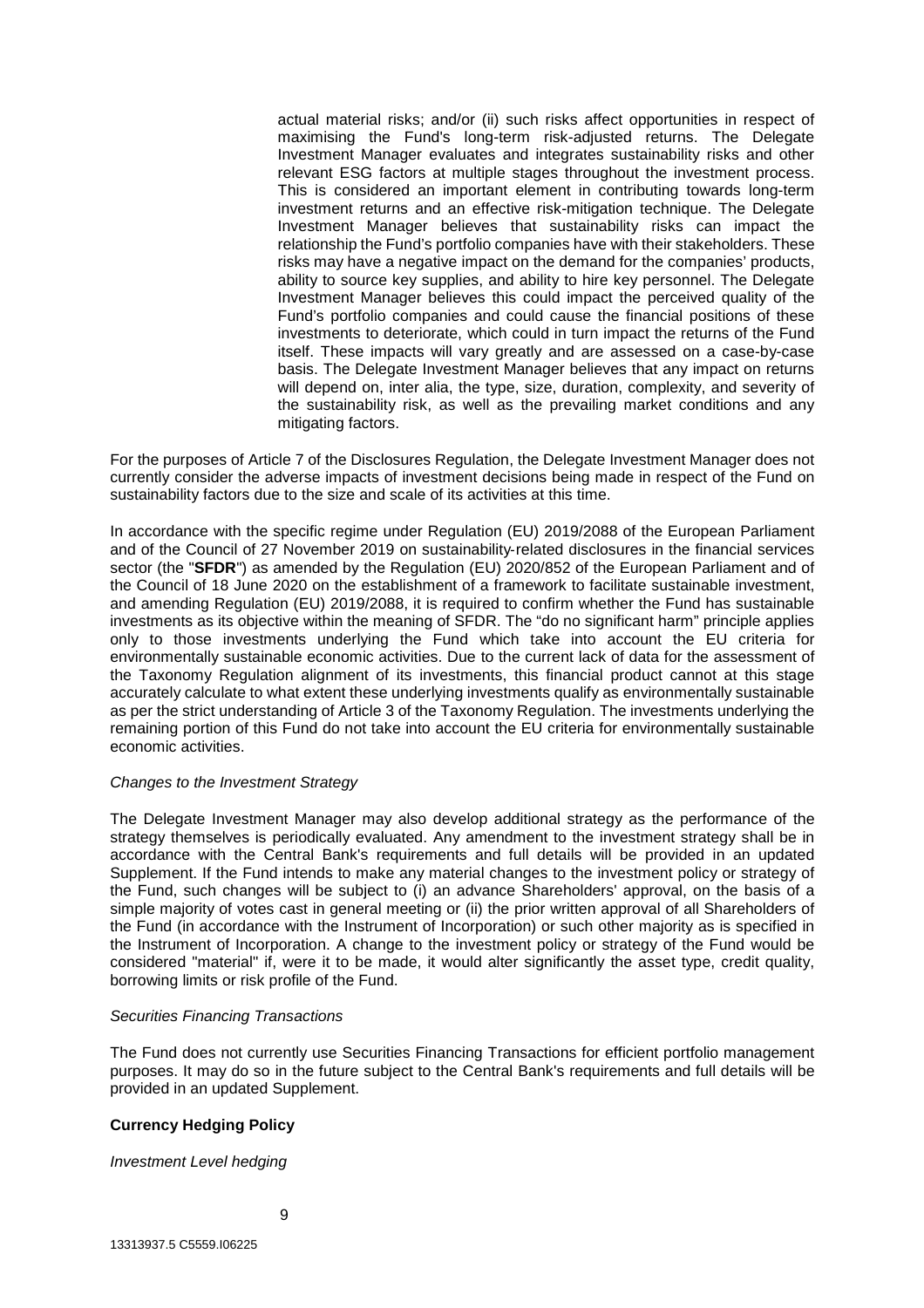actual material risks; and/or (ii) such risks affect opportunities in respect of maximising the Fund's long-term risk-adjusted returns. The Delegate Investment Manager evaluates and integrates sustainability risks and other relevant ESG factors at multiple stages throughout the investment process. This is considered an important element in contributing towards long-term investment returns and an effective risk-mitigation technique. The Delegate Investment Manager believes that sustainability risks can impact the relationship the Fund's portfolio companies have with their stakeholders. These risks may have a negative impact on the demand for the companies' products, ability to source key supplies, and ability to hire key personnel. The Delegate Investment Manager believes this could impact the perceived quality of the Fund's portfolio companies and could cause the financial positions of these investments to deteriorate, which could in turn impact the returns of the Fund itself. These impacts will vary greatly and are assessed on a case-by-case basis. The Delegate Investment Manager believes that any impact on returns will depend on, inter alia, the type, size, duration, complexity, and severity of the sustainability risk, as well as the prevailing market conditions and any mitigating factors.

For the purposes of Article 7 of the Disclosures Regulation, the Delegate Investment Manager does not currently consider the adverse impacts of investment decisions being made in respect of the Fund on sustainability factors due to the size and scale of its activities at this time.

In accordance with the specific regime under Regulation (EU) 2019/2088 of the European Parliament and of the Council of 27 November 2019 on sustainability-related disclosures in the financial services sector (the "**SFDR**") as amended by the Regulation (EU) 2020/852 of the European Parliament and of the Council of 18 June 2020 on the establishment of a framework to facilitate sustainable investment, and amending Regulation (EU) 2019/2088, it is required to confirm whether the Fund has sustainable investments as its objective within the meaning of SFDR. The "do no significant harm" principle applies only to those investments underlying the Fund which take into account the EU criteria for environmentally sustainable economic activities. Due to the current lack of data for the assessment of the Taxonomy Regulation alignment of its investments, this financial product cannot at this stage accurately calculate to what extent these underlying investments qualify as environmentally sustainable as per the strict understanding of Article 3 of the Taxonomy Regulation. The investments underlying the remaining portion of this Fund do not take into account the EU criteria for environmentally sustainable economic activities.

#### *Changes to the Investment Strategy*

The Delegate Investment Manager may also develop additional strategy as the performance of the strategy themselves is periodically evaluated. Any amendment to the investment strategy shall be in accordance with the Central Bank's requirements and full details will be provided in an updated Supplement. If the Fund intends to make any material changes to the investment policy or strategy of the Fund, such changes will be subject to (i) an advance Shareholders' approval, on the basis of a simple majority of votes cast in general meeting or (ii) the prior written approval of all Shareholders of the Fund (in accordance with the Instrument of Incorporation) or such other majority as is specified in the Instrument of Incorporation. A change to the investment policy or strategy of the Fund would be considered "material" if, were it to be made, it would alter significantly the asset type, credit quality, borrowing limits or risk profile of the Fund.

#### *Securities Financing Transactions*

The Fund does not currently use Securities Financing Transactions for efficient portfolio management purposes. It may do so in the future subject to the Central Bank's requirements and full details will be provided in an updated Supplement.

# **Currency Hedging Policy**

#### *Investment Level hedging*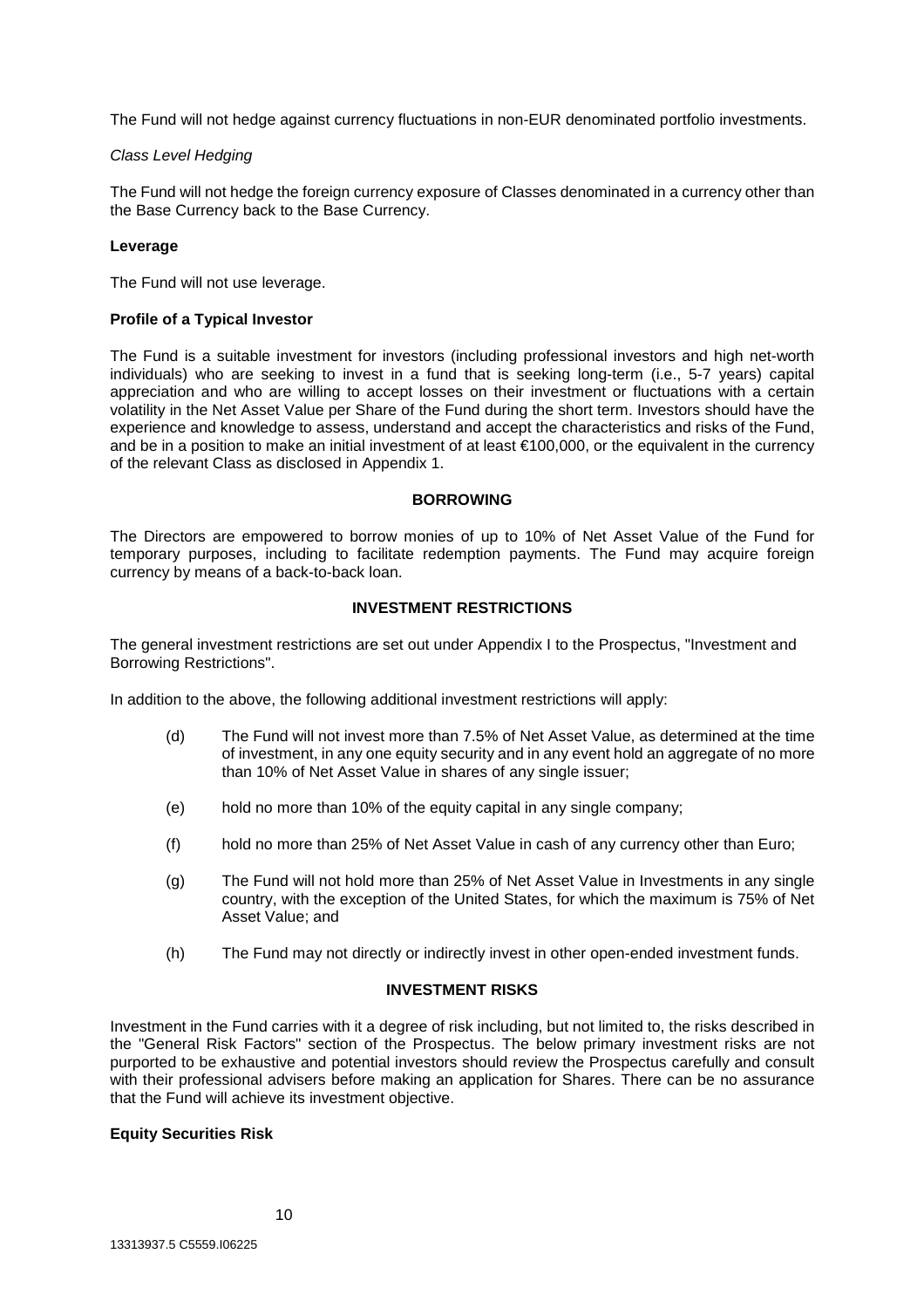The Fund will not hedge against currency fluctuations in non-EUR denominated portfolio investments.

#### *Class Level Hedging*

The Fund will not hedge the foreign currency exposure of Classes denominated in a currency other than the Base Currency back to the Base Currency.

#### **Leverage**

The Fund will not use leverage.

# **Profile of a Typical Investor**

The Fund is a suitable investment for investors (including professional investors and high net-worth individuals) who are seeking to invest in a fund that is seeking long-term (i.e., 5-7 years) capital appreciation and who are willing to accept losses on their investment or fluctuations with a certain volatility in the Net Asset Value per Share of the Fund during the short term. Investors should have the experience and knowledge to assess, understand and accept the characteristics and risks of the Fund, and be in a position to make an initial investment of at least €100,000, or the equivalent in the currency of the relevant Class as disclosed in Appendix 1.

# **BORROWING**

The Directors are empowered to borrow monies of up to 10% of Net Asset Value of the Fund for temporary purposes, including to facilitate redemption payments. The Fund may acquire foreign currency by means of a back-to-back loan.

# **INVESTMENT RESTRICTIONS**

The general investment restrictions are set out under Appendix I to the Prospectus, "Investment and Borrowing Restrictions".

In addition to the above, the following additional investment restrictions will apply:

- (d) The Fund will not invest more than 7.5% of Net Asset Value, as determined at the time of investment, in any one equity security and in any event hold an aggregate of no more than 10% of Net Asset Value in shares of any single issuer;
- (e) hold no more than 10% of the equity capital in any single company;
- (f) hold no more than 25% of Net Asset Value in cash of any currency other than Euro;
- (g) The Fund will not hold more than 25% of Net Asset Value in Investments in any single country, with the exception of the United States, for which the maximum is 75% of Net Asset Value; and
- (h) The Fund may not directly or indirectly invest in other open-ended investment funds.

#### **INVESTMENT RISKS**

Investment in the Fund carries with it a degree of risk including, but not limited to, the risks described in the "General Risk Factors" section of the Prospectus. The below primary investment risks are not purported to be exhaustive and potential investors should review the Prospectus carefully and consult with their professional advisers before making an application for Shares. There can be no assurance that the Fund will achieve its investment objective.

# **Equity Securities Risk**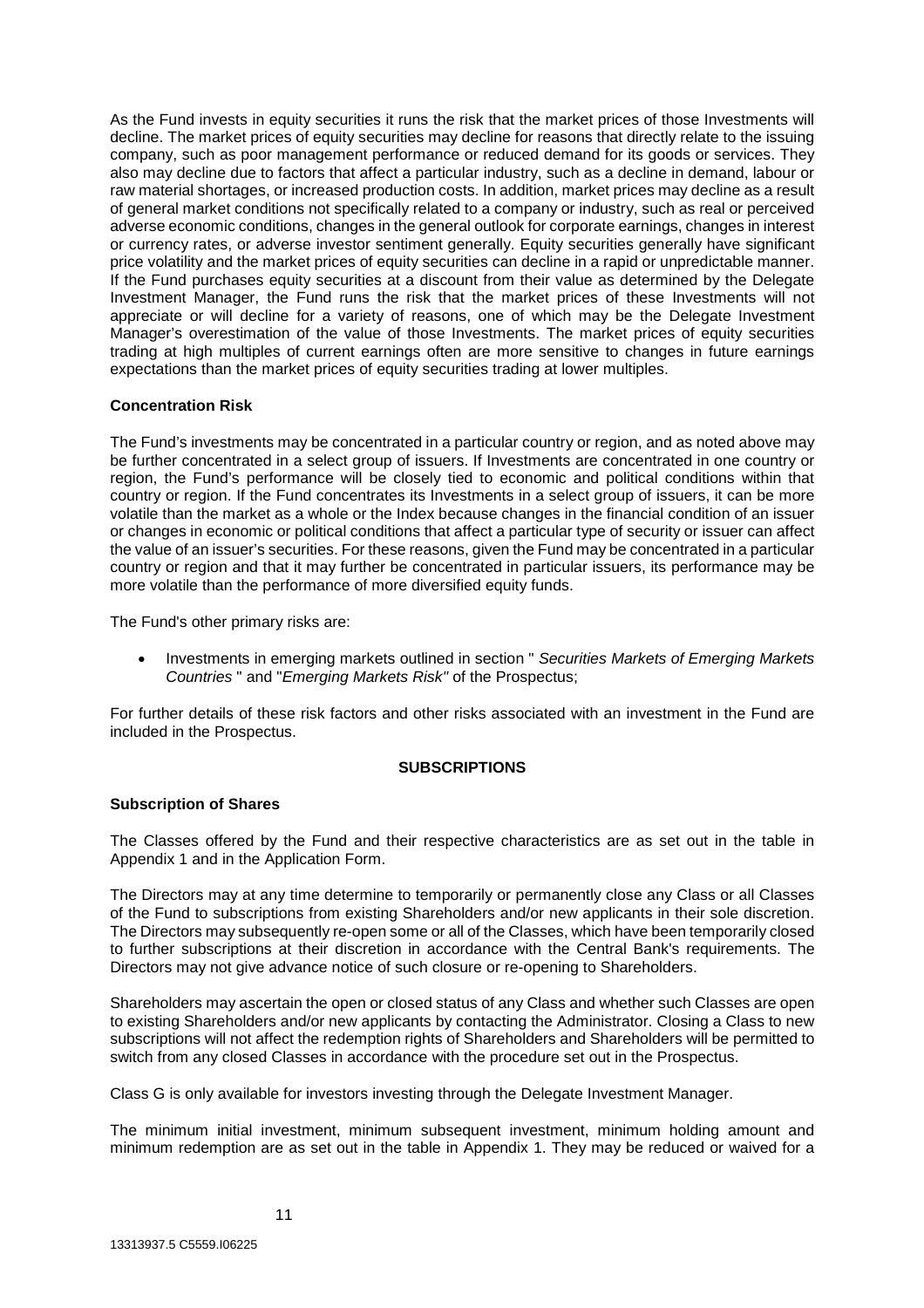As the Fund invests in equity securities it runs the risk that the market prices of those Investments will decline. The market prices of equity securities may decline for reasons that directly relate to the issuing company, such as poor management performance or reduced demand for its goods or services. They also may decline due to factors that affect a particular industry, such as a decline in demand, labour or raw material shortages, or increased production costs. In addition, market prices may decline as a result of general market conditions not specifically related to a company or industry, such as real or perceived adverse economic conditions, changes in the general outlook for corporate earnings, changes in interest or currency rates, or adverse investor sentiment generally. Equity securities generally have significant price volatility and the market prices of equity securities can decline in a rapid or unpredictable manner. If the Fund purchases equity securities at a discount from their value as determined by the Delegate Investment Manager, the Fund runs the risk that the market prices of these Investments will not appreciate or will decline for a variety of reasons, one of which may be the Delegate Investment Manager's overestimation of the value of those Investments. The market prices of equity securities trading at high multiples of current earnings often are more sensitive to changes in future earnings expectations than the market prices of equity securities trading at lower multiples.

# **Concentration Risk**

The Fund's investments may be concentrated in a particular country or region, and as noted above may be further concentrated in a select group of issuers. If Investments are concentrated in one country or region, the Fund's performance will be closely tied to economic and political conditions within that country or region. If the Fund concentrates its Investments in a select group of issuers, it can be more volatile than the market as a whole or the Index because changes in the financial condition of an issuer or changes in economic or political conditions that affect a particular type of security or issuer can affect the value of an issuer's securities. For these reasons, given the Fund may be concentrated in a particular country or region and that it may further be concentrated in particular issuers, its performance may be more volatile than the performance of more diversified equity funds.

The Fund's other primary risks are:

• Investments in emerging markets outlined in section " *Securities Markets of Emerging Markets Countries* " and "*Emerging Markets Risk"* of the Prospectus;

For further details of these risk factors and other risks associated with an investment in the Fund are included in the Prospectus.

#### **SUBSCRIPTIONS**

#### **Subscription of Shares**

The Classes offered by the Fund and their respective characteristics are as set out in the table in Appendix 1 and in the Application Form.

The Directors may at any time determine to temporarily or permanently close any Class or all Classes of the Fund to subscriptions from existing Shareholders and/or new applicants in their sole discretion. The Directors may subsequently re-open some or all of the Classes, which have been temporarily closed to further subscriptions at their discretion in accordance with the Central Bank's requirements. The Directors may not give advance notice of such closure or re-opening to Shareholders.

Shareholders may ascertain the open or closed status of any Class and whether such Classes are open to existing Shareholders and/or new applicants by contacting the Administrator. Closing a Class to new subscriptions will not affect the redemption rights of Shareholders and Shareholders will be permitted to switch from any closed Classes in accordance with the procedure set out in the Prospectus.

Class G is only available for investors investing through the Delegate Investment Manager.

The minimum initial investment, minimum subsequent investment, minimum holding amount and minimum redemption are as set out in the table in Appendix 1. They may be reduced or waived for a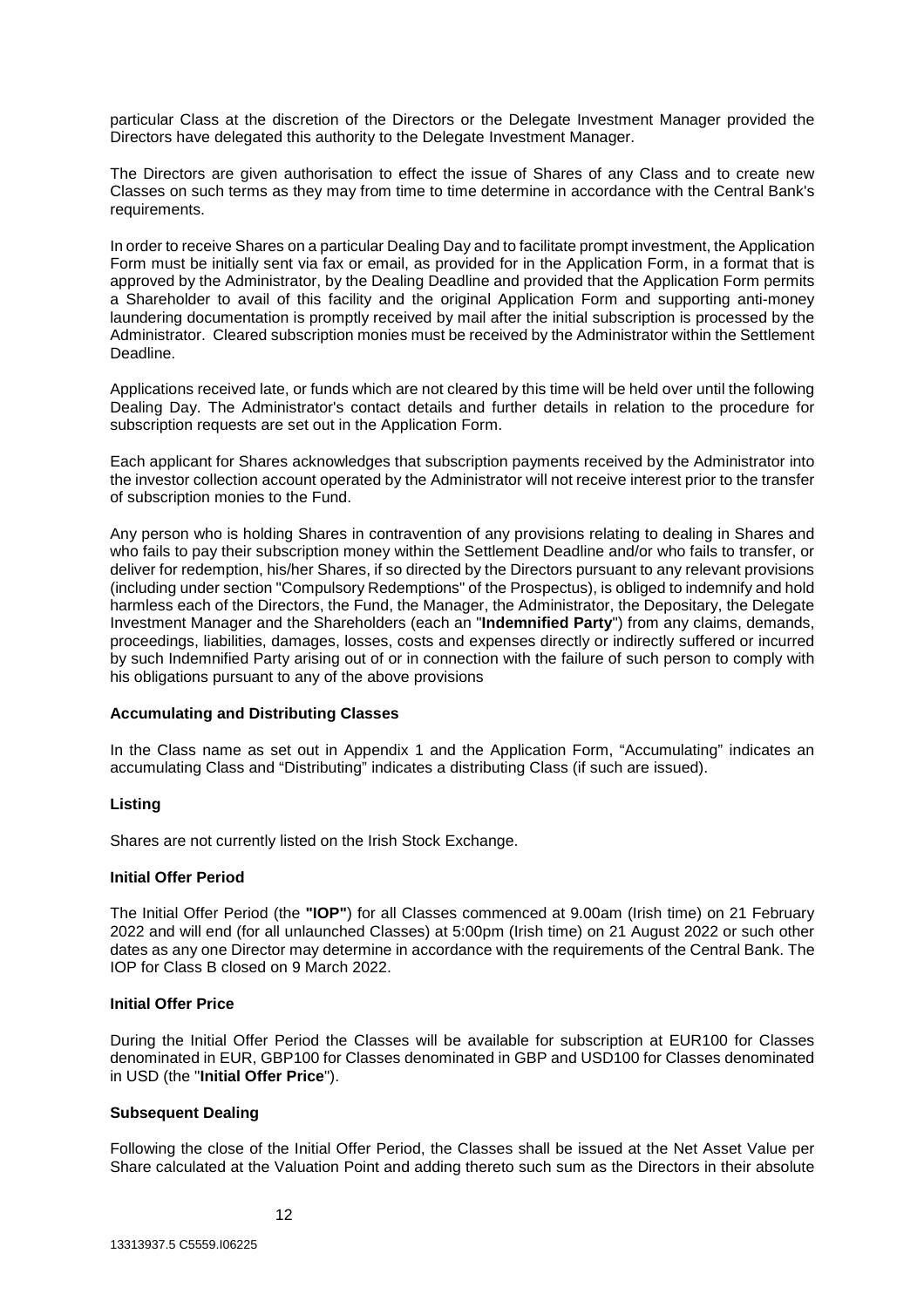particular Class at the discretion of the Directors or the Delegate Investment Manager provided the Directors have delegated this authority to the Delegate Investment Manager.

The Directors are given authorisation to effect the issue of Shares of any Class and to create new Classes on such terms as they may from time to time determine in accordance with the Central Bank's requirements.

In order to receive Shares on a particular Dealing Day and to facilitate prompt investment, the Application Form must be initially sent via fax or email, as provided for in the Application Form, in a format that is approved by the Administrator, by the Dealing Deadline and provided that the Application Form permits a Shareholder to avail of this facility and the original Application Form and supporting anti-money laundering documentation is promptly received by mail after the initial subscription is processed by the Administrator. Cleared subscription monies must be received by the Administrator within the Settlement Deadline.

Applications received late, or funds which are not cleared by this time will be held over until the following Dealing Day. The Administrator's contact details and further details in relation to the procedure for subscription requests are set out in the Application Form.

Each applicant for Shares acknowledges that subscription payments received by the Administrator into the investor collection account operated by the Administrator will not receive interest prior to the transfer of subscription monies to the Fund.

Any person who is holding Shares in contravention of any provisions relating to dealing in Shares and who fails to pay their subscription money within the Settlement Deadline and/or who fails to transfer, or deliver for redemption, his/her Shares, if so directed by the Directors pursuant to any relevant provisions (including under section "Compulsory Redemptions" of the Prospectus), is obliged to indemnify and hold harmless each of the Directors, the Fund, the Manager, the Administrator, the Depositary, the Delegate Investment Manager and the Shareholders (each an "**Indemnified Party**") from any claims, demands, proceedings, liabilities, damages, losses, costs and expenses directly or indirectly suffered or incurred by such Indemnified Party arising out of or in connection with the failure of such person to comply with his obligations pursuant to any of the above provisions

#### **Accumulating and Distributing Classes**

In the Class name as set out in Appendix 1 and the Application Form, "Accumulating" indicates an accumulating Class and "Distributing" indicates a distributing Class (if such are issued).

#### **Listing**

Shares are not currently listed on the Irish Stock Exchange.

#### **Initial Offer Period**

The Initial Offer Period (the **"IOP"**) for all Classes commenced at 9.00am (Irish time) on 21 February 2022 and will end (for all unlaunched Classes) at 5:00pm (Irish time) on 21 August 2022 or such other dates as any one Director may determine in accordance with the requirements of the Central Bank. The IOP for Class B closed on 9 March 2022.

#### **Initial Offer Price**

During the Initial Offer Period the Classes will be available for subscription at EUR100 for Classes denominated in EUR, GBP100 for Classes denominated in GBP and USD100 for Classes denominated in USD (the "**Initial Offer Price**").

# **Subsequent Dealing**

Following the close of the Initial Offer Period, the Classes shall be issued at the Net Asset Value per Share calculated at the Valuation Point and adding thereto such sum as the Directors in their absolute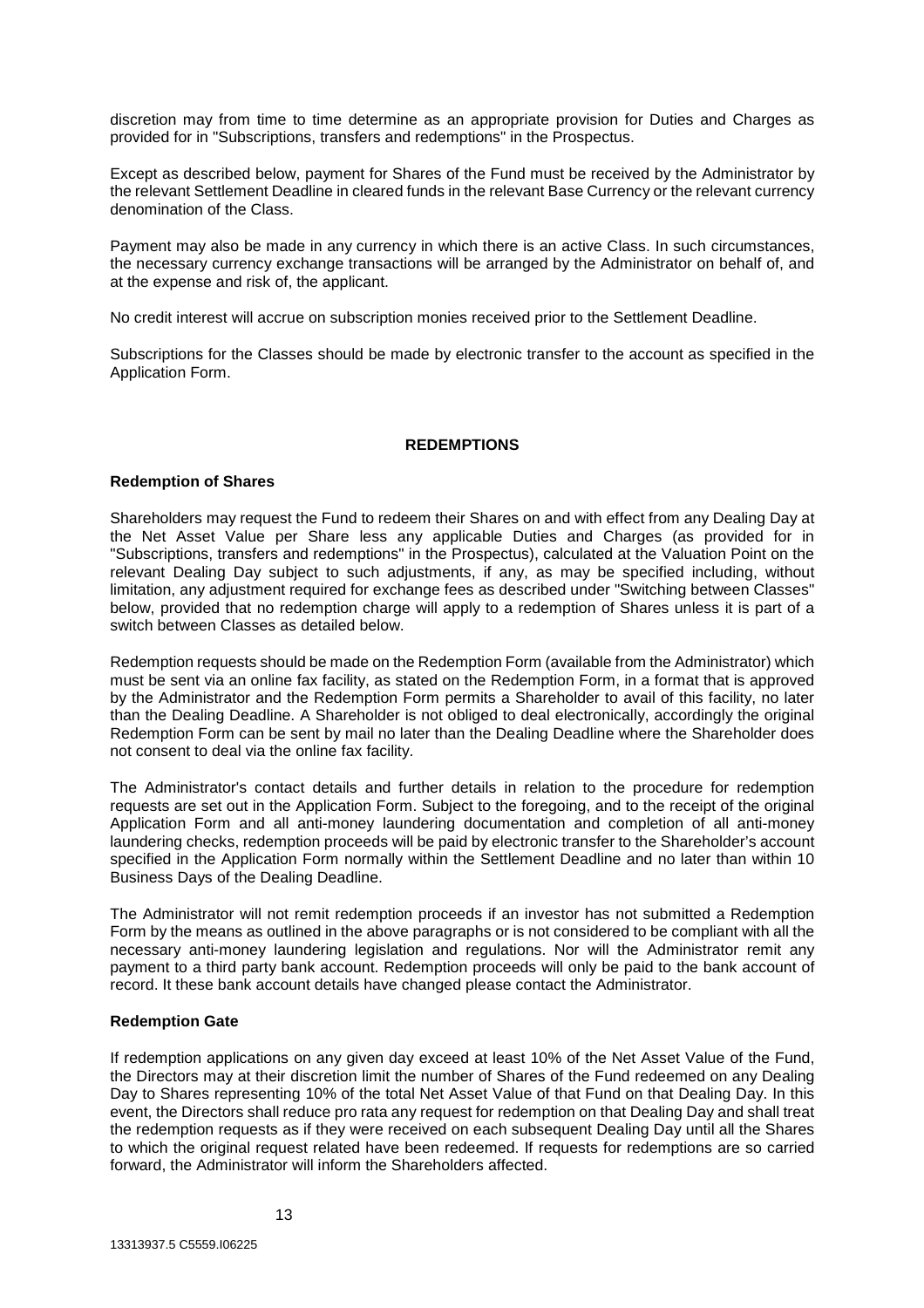discretion may from time to time determine as an appropriate provision for Duties and Charges as provided for in "Subscriptions, transfers and redemptions" in the Prospectus.

Except as described below, payment for Shares of the Fund must be received by the Administrator by the relevant Settlement Deadline in cleared funds in the relevant Base Currency or the relevant currency denomination of the Class.

Payment may also be made in any currency in which there is an active Class. In such circumstances, the necessary currency exchange transactions will be arranged by the Administrator on behalf of, and at the expense and risk of, the applicant.

No credit interest will accrue on subscription monies received prior to the Settlement Deadline.

Subscriptions for the Classes should be made by electronic transfer to the account as specified in the Application Form.

#### **REDEMPTIONS**

#### **Redemption of Shares**

Shareholders may request the Fund to redeem their Shares on and with effect from any Dealing Day at the Net Asset Value per Share less any applicable Duties and Charges (as provided for in "Subscriptions, transfers and redemptions" in the Prospectus), calculated at the Valuation Point on the relevant Dealing Day subject to such adjustments, if any, as may be specified including, without limitation, any adjustment required for exchange fees as described under "Switching between Classes" below, provided that no redemption charge will apply to a redemption of Shares unless it is part of a switch between Classes as detailed below.

Redemption requests should be made on the Redemption Form (available from the Administrator) which must be sent via an online fax facility, as stated on the Redemption Form, in a format that is approved by the Administrator and the Redemption Form permits a Shareholder to avail of this facility, no later than the Dealing Deadline. A Shareholder is not obliged to deal electronically, accordingly the original Redemption Form can be sent by mail no later than the Dealing Deadline where the Shareholder does not consent to deal via the online fax facility.

The Administrator's contact details and further details in relation to the procedure for redemption requests are set out in the Application Form. Subject to the foregoing, and to the receipt of the original Application Form and all anti-money laundering documentation and completion of all anti-money laundering checks, redemption proceeds will be paid by electronic transfer to the Shareholder's account specified in the Application Form normally within the Settlement Deadline and no later than within 10 Business Days of the Dealing Deadline.

The Administrator will not remit redemption proceeds if an investor has not submitted a Redemption Form by the means as outlined in the above paragraphs or is not considered to be compliant with all the necessary anti-money laundering legislation and regulations. Nor will the Administrator remit any payment to a third party bank account. Redemption proceeds will only be paid to the bank account of record. It these bank account details have changed please contact the Administrator.

#### **Redemption Gate**

If redemption applications on any given day exceed at least 10% of the Net Asset Value of the Fund, the Directors may at their discretion limit the number of Shares of the Fund redeemed on any Dealing Day to Shares representing 10% of the total Net Asset Value of that Fund on that Dealing Day. In this event, the Directors shall reduce pro rata any request for redemption on that Dealing Day and shall treat the redemption requests as if they were received on each subsequent Dealing Day until all the Shares to which the original request related have been redeemed. If requests for redemptions are so carried forward, the Administrator will inform the Shareholders affected.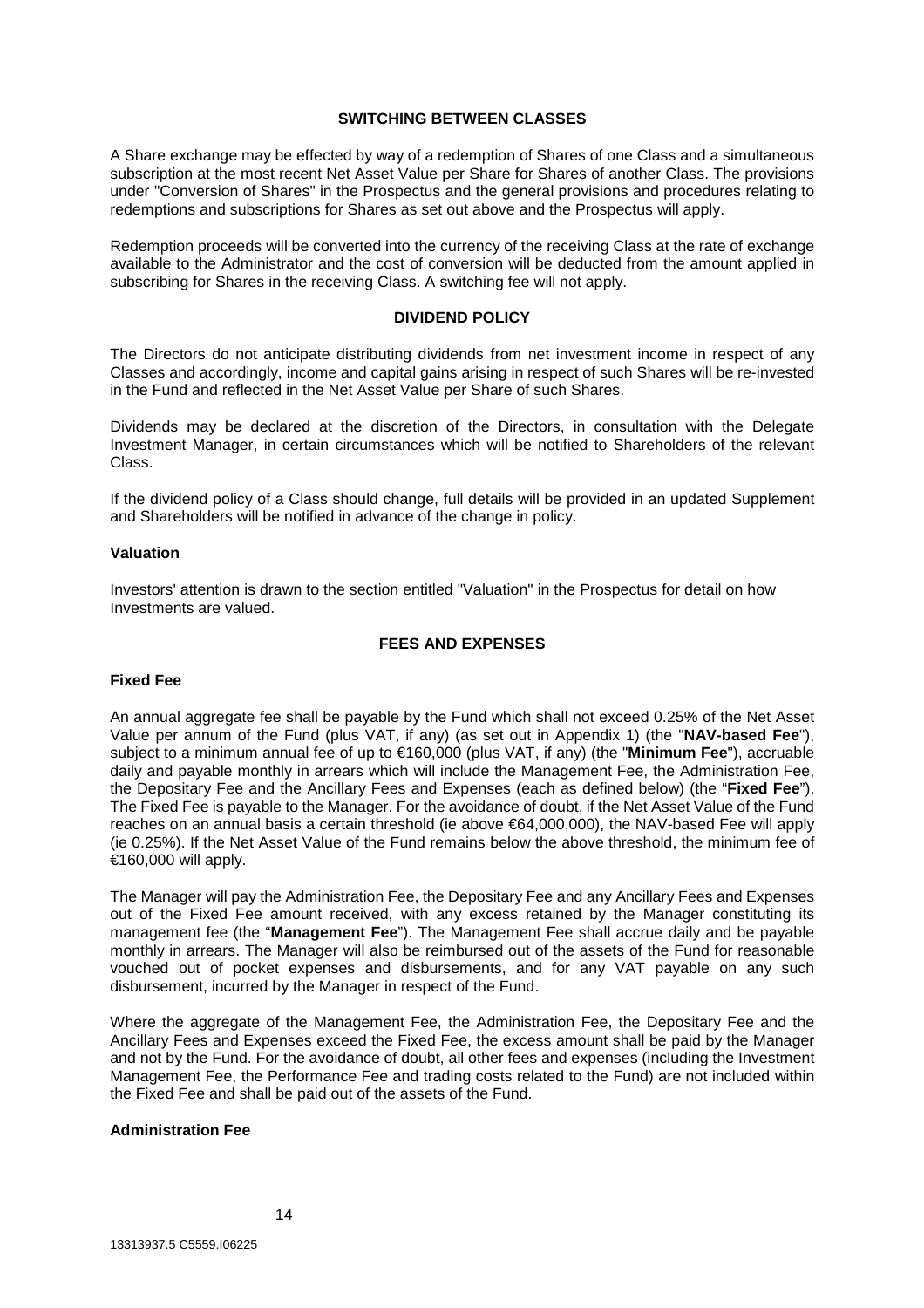#### **SWITCHING BETWEEN CLASSES**

A Share exchange may be effected by way of a redemption of Shares of one Class and a simultaneous subscription at the most recent Net Asset Value per Share for Shares of another Class. The provisions under "Conversion of Shares" in the Prospectus and the general provisions and procedures relating to redemptions and subscriptions for Shares as set out above and the Prospectus will apply.

Redemption proceeds will be converted into the currency of the receiving Class at the rate of exchange available to the Administrator and the cost of conversion will be deducted from the amount applied in subscribing for Shares in the receiving Class. A switching fee will not apply.

# **DIVIDEND POLICY**

The Directors do not anticipate distributing dividends from net investment income in respect of any Classes and accordingly, income and capital gains arising in respect of such Shares will be re-invested in the Fund and reflected in the Net Asset Value per Share of such Shares.

Dividends may be declared at the discretion of the Directors, in consultation with the Delegate Investment Manager, in certain circumstances which will be notified to Shareholders of the relevant Class.

If the dividend policy of a Class should change, full details will be provided in an updated Supplement and Shareholders will be notified in advance of the change in policy.

#### **Valuation**

Investors' attention is drawn to the section entitled "Valuation" in the Prospectus for detail on how Investments are valued.

# **FEES AND EXPENSES**

#### **Fixed Fee**

An annual aggregate fee shall be payable by the Fund which shall not exceed 0.25% of the Net Asset Value per annum of the Fund (plus VAT, if any) (as set out in Appendix 1) (the "**NAV-based Fee**"), subject to a minimum annual fee of up to €160,000 (plus VAT, if any) (the "**Minimum Fee**"), accruable daily and payable monthly in arrears which will include the Management Fee, the Administration Fee, the Depositary Fee and the Ancillary Fees and Expenses (each as defined below) (the "**Fixed Fee**"). The Fixed Fee is payable to the Manager. For the avoidance of doubt, if the Net Asset Value of the Fund reaches on an annual basis a certain threshold (ie above €64,000,000), the NAV-based Fee will apply (ie 0.25%). If the Net Asset Value of the Fund remains below the above threshold, the minimum fee of €160,000 will apply.

The Manager will pay the Administration Fee, the Depositary Fee and any Ancillary Fees and Expenses out of the Fixed Fee amount received, with any excess retained by the Manager constituting its management fee (the "**Management Fee**"). The Management Fee shall accrue daily and be payable monthly in arrears. The Manager will also be reimbursed out of the assets of the Fund for reasonable vouched out of pocket expenses and disbursements, and for any VAT payable on any such disbursement, incurred by the Manager in respect of the Fund.

Where the aggregate of the Management Fee, the Administration Fee, the Depositary Fee and the Ancillary Fees and Expenses exceed the Fixed Fee, the excess amount shall be paid by the Manager and not by the Fund. For the avoidance of doubt, all other fees and expenses (including the Investment Management Fee, the Performance Fee and trading costs related to the Fund) are not included within the Fixed Fee and shall be paid out of the assets of the Fund.

# **Administration Fee**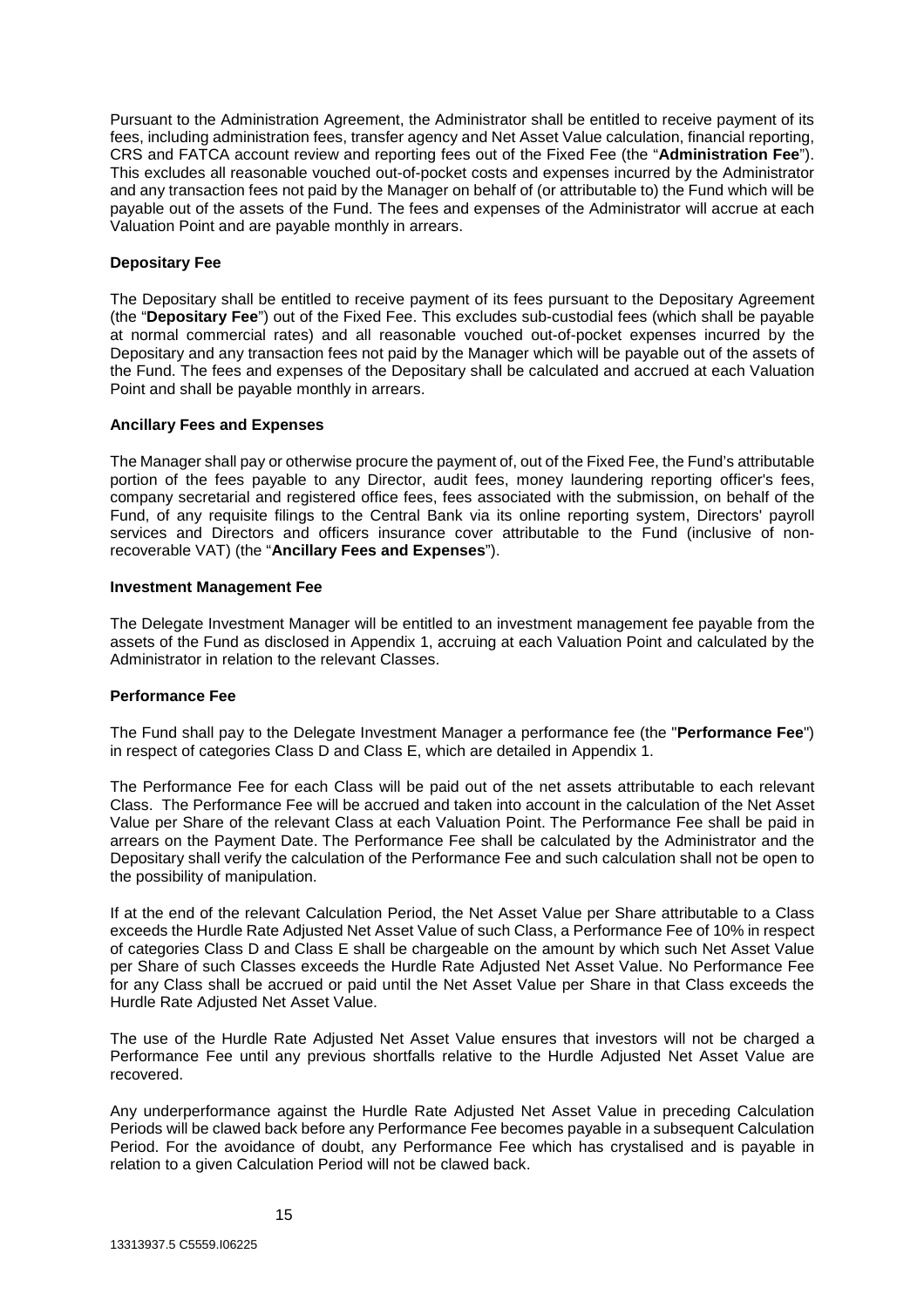Pursuant to the Administration Agreement, the Administrator shall be entitled to receive payment of its fees, including administration fees, transfer agency and Net Asset Value calculation, financial reporting, CRS and FATCA account review and reporting fees out of the Fixed Fee (the "**Administration Fee**"). This excludes all reasonable vouched out-of-pocket costs and expenses incurred by the Administrator and any transaction fees not paid by the Manager on behalf of (or attributable to) the Fund which will be payable out of the assets of the Fund. The fees and expenses of the Administrator will accrue at each Valuation Point and are payable monthly in arrears.

# **Depositary Fee**

The Depositary shall be entitled to receive payment of its fees pursuant to the Depositary Agreement (the "**Depositary Fee**") out of the Fixed Fee. This excludes sub-custodial fees (which shall be payable at normal commercial rates) and all reasonable vouched out-of-pocket expenses incurred by the Depositary and any transaction fees not paid by the Manager which will be payable out of the assets of the Fund. The fees and expenses of the Depositary shall be calculated and accrued at each Valuation Point and shall be payable monthly in arrears.

# **Ancillary Fees and Expenses**

The Manager shall pay or otherwise procure the payment of, out of the Fixed Fee, the Fund's attributable portion of the fees payable to any Director, audit fees, money laundering reporting officer's fees, company secretarial and registered office fees, fees associated with the submission, on behalf of the Fund, of any requisite filings to the Central Bank via its online reporting system, Directors' payroll services and Directors and officers insurance cover attributable to the Fund (inclusive of nonrecoverable VAT) (the "**Ancillary Fees and Expenses**").

#### **Investment Management Fee**

The Delegate Investment Manager will be entitled to an investment management fee payable from the assets of the Fund as disclosed in Appendix 1, accruing at each Valuation Point and calculated by the Administrator in relation to the relevant Classes.

# **Performance Fee**

The Fund shall pay to the Delegate Investment Manager a performance fee (the "**Performance Fee**") in respect of categories Class D and Class E, which are detailed in Appendix 1.

The Performance Fee for each Class will be paid out of the net assets attributable to each relevant Class. The Performance Fee will be accrued and taken into account in the calculation of the Net Asset Value per Share of the relevant Class at each Valuation Point. The Performance Fee shall be paid in arrears on the Payment Date. The Performance Fee shall be calculated by the Administrator and the Depositary shall verify the calculation of the Performance Fee and such calculation shall not be open to the possibility of manipulation.

If at the end of the relevant Calculation Period, the Net Asset Value per Share attributable to a Class exceeds the Hurdle Rate Adjusted Net Asset Value of such Class, a Performance Fee of 10% in respect of categories Class D and Class E shall be chargeable on the amount by which such Net Asset Value per Share of such Classes exceeds the Hurdle Rate Adjusted Net Asset Value. No Performance Fee for any Class shall be accrued or paid until the Net Asset Value per Share in that Class exceeds the Hurdle Rate Adjusted Net Asset Value.

The use of the Hurdle Rate Adjusted Net Asset Value ensures that investors will not be charged a Performance Fee until any previous shortfalls relative to the Hurdle Adjusted Net Asset Value are recovered.

Any underperformance against the Hurdle Rate Adjusted Net Asset Value in preceding Calculation Periods will be clawed back before any Performance Fee becomes payable in a subsequent Calculation Period. For the avoidance of doubt, any Performance Fee which has crystalised and is payable in relation to a given Calculation Period will not be clawed back.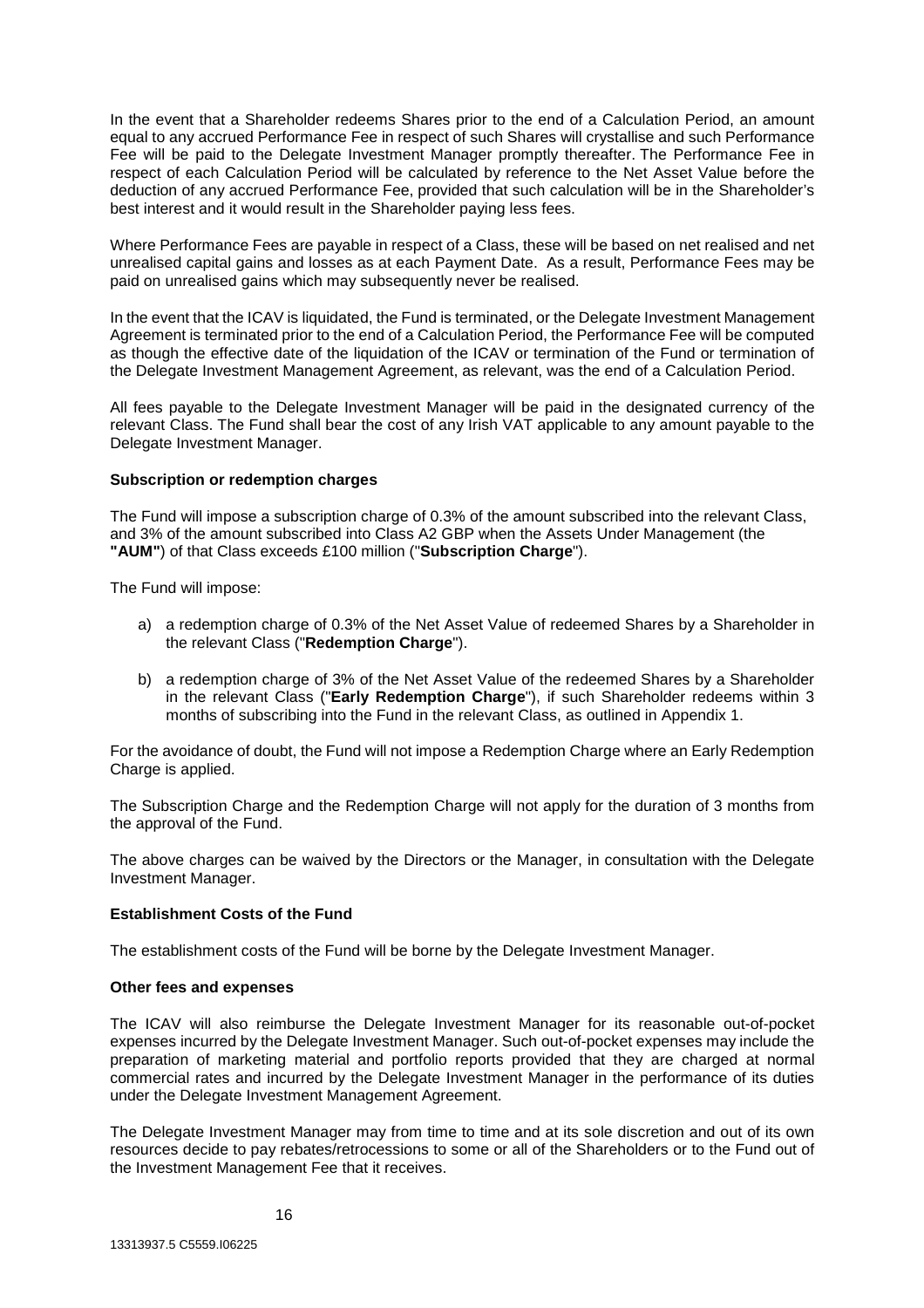In the event that a Shareholder redeems Shares prior to the end of a Calculation Period, an amount equal to any accrued Performance Fee in respect of such Shares will crystallise and such Performance Fee will be paid to the Delegate Investment Manager promptly thereafter. The Performance Fee in respect of each Calculation Period will be calculated by reference to the Net Asset Value before the deduction of any accrued Performance Fee, provided that such calculation will be in the Shareholder's best interest and it would result in the Shareholder paying less fees.

Where Performance Fees are payable in respect of a Class, these will be based on net realised and net unrealised capital gains and losses as at each Payment Date. As a result, Performance Fees may be paid on unrealised gains which may subsequently never be realised.

In the event that the ICAV is liquidated, the Fund is terminated, or the Delegate Investment Management Agreement is terminated prior to the end of a Calculation Period, the Performance Fee will be computed as though the effective date of the liquidation of the ICAV or termination of the Fund or termination of the Delegate Investment Management Agreement, as relevant, was the end of a Calculation Period.

All fees payable to the Delegate Investment Manager will be paid in the designated currency of the relevant Class. The Fund shall bear the cost of any Irish VAT applicable to any amount payable to the Delegate Investment Manager.

# **Subscription or redemption charges**

The Fund will impose a subscription charge of 0.3% of the amount subscribed into the relevant Class, and 3% of the amount subscribed into Class A2 GBP when the Assets Under Management (the **"AUM"**) of that Class exceeds £100 million ("**Subscription Charge**").

The Fund will impose:

- a) a redemption charge of 0.3% of the Net Asset Value of redeemed Shares by a Shareholder in the relevant Class ("**Redemption Charge**").
- b) a redemption charge of 3% of the Net Asset Value of the redeemed Shares by a Shareholder in the relevant Class ("**Early Redemption Charge**"), if such Shareholder redeems within 3 months of subscribing into the Fund in the relevant Class, as outlined in Appendix 1.

For the avoidance of doubt, the Fund will not impose a Redemption Charge where an Early Redemption Charge is applied.

The Subscription Charge and the Redemption Charge will not apply for the duration of 3 months from the approval of the Fund.

The above charges can be waived by the Directors or the Manager, in consultation with the Delegate Investment Manager.

# **Establishment Costs of the Fund**

The establishment costs of the Fund will be borne by the Delegate Investment Manager.

#### **Other fees and expenses**

The ICAV will also reimburse the Delegate Investment Manager for its reasonable out-of-pocket expenses incurred by the Delegate Investment Manager. Such out-of-pocket expenses may include the preparation of marketing material and portfolio reports provided that they are charged at normal commercial rates and incurred by the Delegate Investment Manager in the performance of its duties under the Delegate Investment Management Agreement.

The Delegate Investment Manager may from time to time and at its sole discretion and out of its own resources decide to pay rebates/retrocessions to some or all of the Shareholders or to the Fund out of the Investment Management Fee that it receives.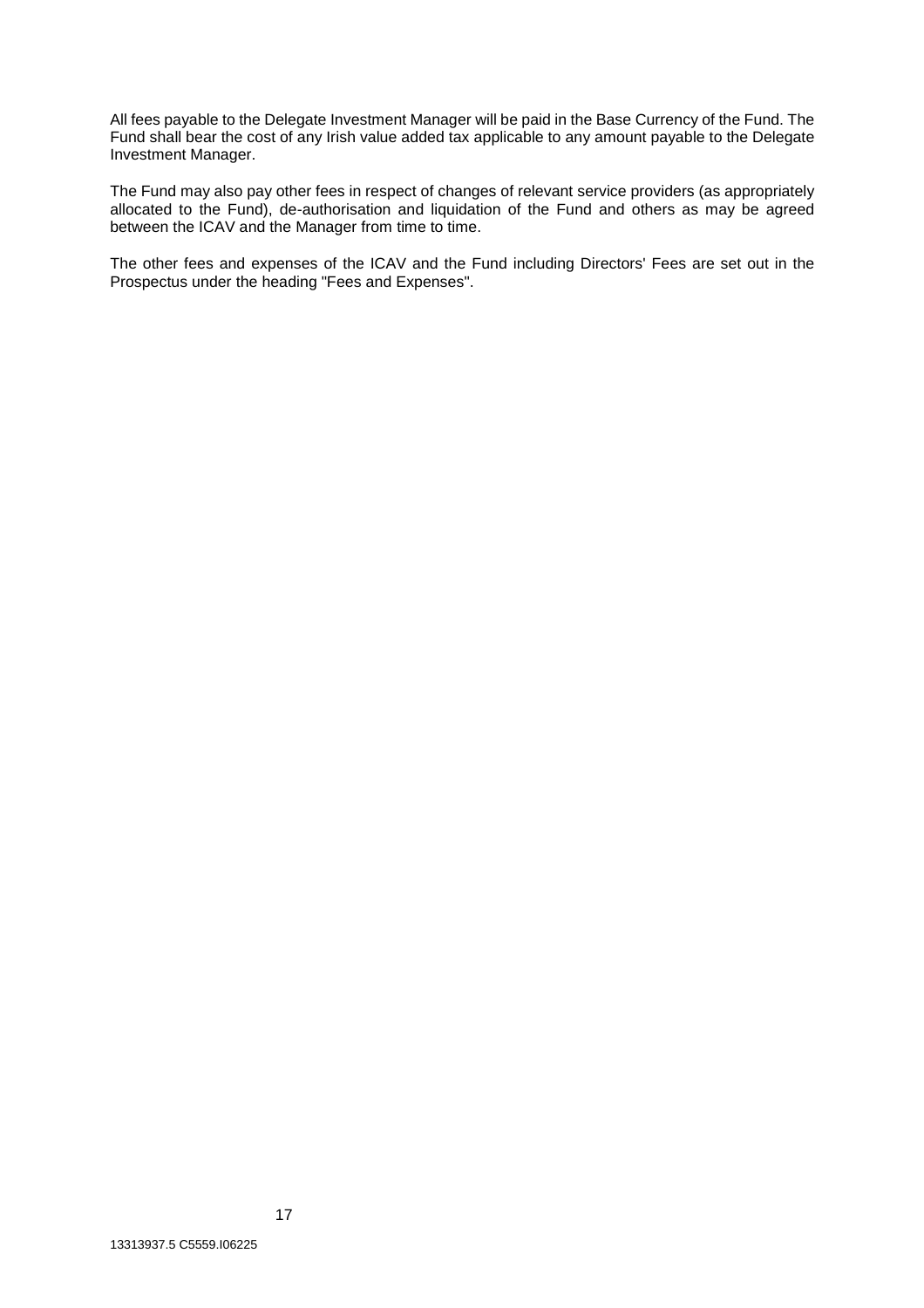All fees payable to the Delegate Investment Manager will be paid in the Base Currency of the Fund. The Fund shall bear the cost of any Irish value added tax applicable to any amount payable to the Delegate Investment Manager.

The Fund may also pay other fees in respect of changes of relevant service providers (as appropriately allocated to the Fund), de-authorisation and liquidation of the Fund and others as may be agreed between the ICAV and the Manager from time to time.

The other fees and expenses of the ICAV and the Fund including Directors' Fees are set out in the Prospectus under the heading "Fees and Expenses".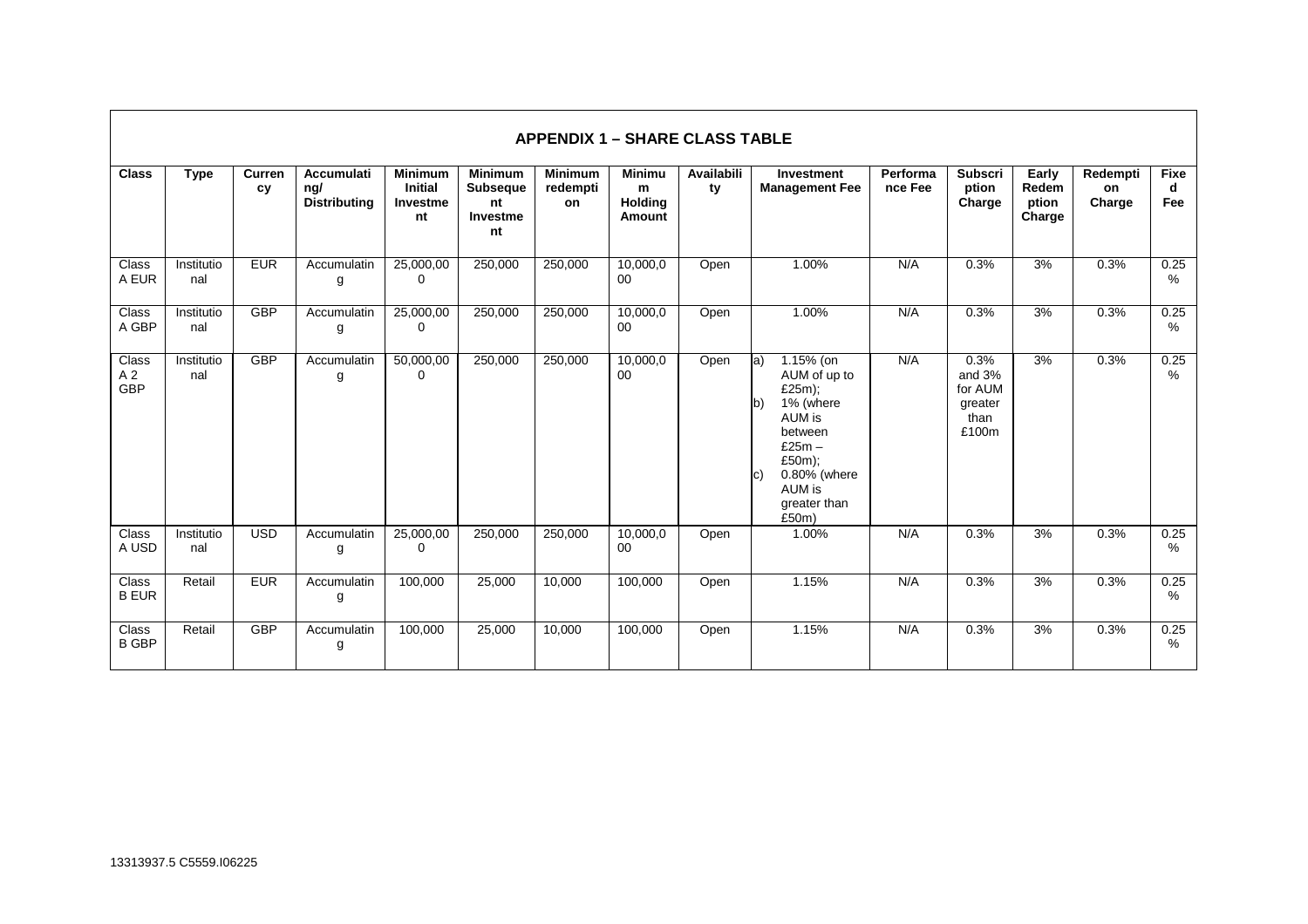|                                       |                   |              |                                                 |                                                    |                                                           | <b>APPENDIX 1 – SHARE CLASS TABLE</b> |                                         |                  |                                                                                                                                                                    |                     |                                                       |                                   |                          |                         |
|---------------------------------------|-------------------|--------------|-------------------------------------------------|----------------------------------------------------|-----------------------------------------------------------|---------------------------------------|-----------------------------------------|------------------|--------------------------------------------------------------------------------------------------------------------------------------------------------------------|---------------------|-------------------------------------------------------|-----------------------------------|--------------------------|-------------------------|
| <b>Class</b>                          | <b>Type</b>       | Curren<br>cy | <b>Accumulati</b><br>ng/<br><b>Distributing</b> | <b>Minimum</b><br><b>Initial</b><br>Investme<br>nt | <b>Minimum</b><br><b>Subseque</b><br>nt<br>Investme<br>nt | <b>Minimum</b><br>redempti<br>on      | Minimu<br>m<br><b>Holding</b><br>Amount | Availabili<br>ty | Investment<br><b>Management Fee</b>                                                                                                                                | Performa<br>nce Fee | <b>Subscri</b><br>ption<br>Charge                     | Early<br>Redem<br>ption<br>Charge | Redempti<br>on<br>Charge | <b>Fixe</b><br>d<br>Fee |
| Class<br>A EUR                        | Institutio<br>nal | <b>EUR</b>   | Accumulatin<br>g                                | 25,000,00<br>0                                     | 250,000                                                   | 250,000                               | 10,000,0<br>00                          | Open             | 1.00%                                                                                                                                                              | N/A                 | 0.3%                                                  | 3%                                | 0.3%                     | 0.25<br>%               |
| Class<br>A GBP                        | Institutio<br>nal | <b>GBP</b>   | Accumulatin<br>g                                | 25,000,00<br>$\Omega$                              | 250,000                                                   | 250,000                               | 10,000,0<br>$00\,$                      | Open             | 1.00%                                                                                                                                                              | N/A                 | 0.3%                                                  | 3%                                | 0.3%                     | 0.25<br>%               |
| Class<br>A <sub>2</sub><br><b>GBP</b> | Institutio<br>nal | <b>GBP</b>   | Accumulatin<br>g                                | 50,000,00<br>$\mathbf 0$                           | 250,000                                                   | 250,000                               | 10,000,0<br>00                          | Open             | 1.15% (on<br>la)<br>AUM of up to<br>£25m);<br>1% (where<br>lb)<br>AUM is<br>between<br>$£25m -$<br>£50m);<br>0.80% (where<br>C)<br>AUM is<br>greater than<br>£50m) | N/A                 | 0.3%<br>and 3%<br>for AUM<br>greater<br>than<br>£100m | 3%                                | 0.3%                     | 0.25<br>%               |
| <b>Class</b><br>A USD                 | Institutio<br>nal | <b>USD</b>   | Accumulatin<br>g                                | 25,000,00<br>0                                     | 250,000                                                   | 250,000                               | 10,000,0<br>00                          | Open             | 1.00%                                                                                                                                                              | N/A                 | 0.3%                                                  | 3%                                | 0.3%                     | 0.25<br>%               |
| Class<br><b>B EUR</b>                 | Retail            | <b>EUR</b>   | Accumulatin<br>g                                | 100,000                                            | 25,000                                                    | 10,000                                | 100,000                                 | Open             | 1.15%                                                                                                                                                              | N/A                 | 0.3%                                                  | 3%                                | 0.3%                     | 0.25<br>%               |
| Class<br><b>B GBP</b>                 | Retail            | <b>GBP</b>   | Accumulatin<br>g                                | 100,000                                            | 25,000                                                    | 10,000                                | 100,000                                 | Open             | 1.15%                                                                                                                                                              | N/A                 | 0.3%                                                  | 3%                                | 0.3%                     | 0.25<br>%               |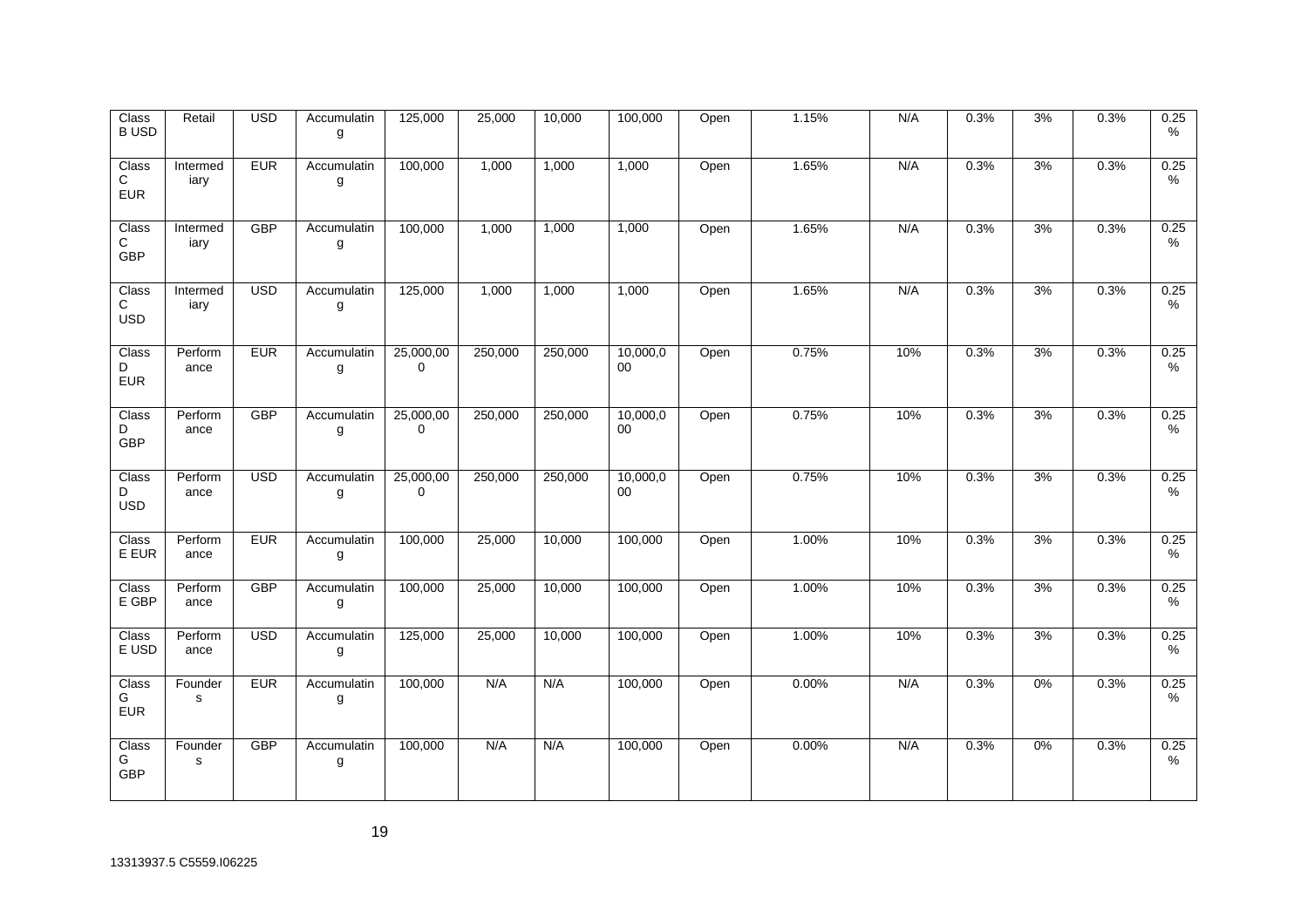| $\overline{\text{Class}}$<br><b>BUSD</b> | Retail                 | <b>USD</b> | Accumulatin<br>g | 125,000                  | 25,000  | 10,000  | 100,000        | Open | 1.15% | N/A | 0.3% | 3% | 0.3% | 0.25<br>$\%$ |
|------------------------------------------|------------------------|------------|------------------|--------------------------|---------|---------|----------------|------|-------|-----|------|----|------|--------------|
| Class<br>С<br><b>EUR</b>                 | Intermed<br>iary       | <b>EUR</b> | Accumulatin<br>g | 100,000                  | 1,000   | 1,000   | 1,000          | Open | 1.65% | N/A | 0.3% | 3% | 0.3% | 0.25<br>%    |
| Class<br>C.<br>GBP                       | Intermed<br>iary       | <b>GBP</b> | Accumulatin<br>g | 100,000                  | 1,000   | 1,000   | 1,000          | Open | 1.65% | N/A | 0.3% | 3% | 0.3% | 0.25<br>%    |
| Class<br>С<br><b>USD</b>                 | Intermed<br>iary       | <b>USD</b> | Accumulatin<br>g | 125,000                  | 1,000   | 1,000   | 1,000          | Open | 1.65% | N/A | 0.3% | 3% | 0.3% | 0.25<br>%    |
| Class<br>D<br><b>EUR</b>                 | Perform<br>ance        | <b>EUR</b> | Accumulatin<br>g | 25,000,00<br>$\mathbf 0$ | 250,000 | 250,000 | 10,000,0<br>00 | Open | 0.75% | 10% | 0.3% | 3% | 0.3% | 0.25<br>%    |
| Class<br>D<br>GBP                        | Perform<br>ance        | <b>GBP</b> | Accumulatin<br>g | 25,000,00<br>$\mathbf 0$ | 250,000 | 250,000 | 10,000,0<br>00 | Open | 0.75% | 10% | 0.3% | 3% | 0.3% | 0.25<br>%    |
| Class<br>D<br><b>USD</b>                 | Perform<br>ance        | <b>USD</b> | Accumulatin<br>g | 25,000,00<br>$\mathbf 0$ | 250,000 | 250,000 | 10,000,0<br>00 | Open | 0.75% | 10% | 0.3% | 3% | 0.3% | 0.25<br>$\%$ |
| Class<br>E EUR                           | Perform<br>ance        | <b>EUR</b> | Accumulatin<br>g | 100,000                  | 25,000  | 10,000  | 100,000        | Open | 1.00% | 10% | 0.3% | 3% | 0.3% | 0.25<br>%    |
| Class<br>E GBP                           | Perform<br>ance        | GBP        | Accumulatin<br>g | 100,000                  | 25,000  | 10,000  | 100,000        | Open | 1.00% | 10% | 0.3% | 3% | 0.3% | 0.25<br>$\%$ |
| Class<br>E USD                           | Perform<br>ance        | <b>USD</b> | Accumulatin<br>g | 125,000                  | 25,000  | 10,000  | 100,000        | Open | 1.00% | 10% | 0.3% | 3% | 0.3% | 0.25<br>%    |
| Class<br>G<br><b>EUR</b>                 | Founder<br>$\mathbf s$ | <b>EUR</b> | Accumulatin<br>g | 100,000                  | N/A     | N/A     | 100,000        | Open | 0.00% | N/A | 0.3% | 0% | 0.3% | 0.25<br>%    |
| Class<br>G<br>GBP                        | Founder<br>${\tt S}$   | GBP        | Accumulatin<br>g | 100,000                  | N/A     | N/A     | 100,000        | Open | 0.00% | N/A | 0.3% | 0% | 0.3% | 0.25<br>%    |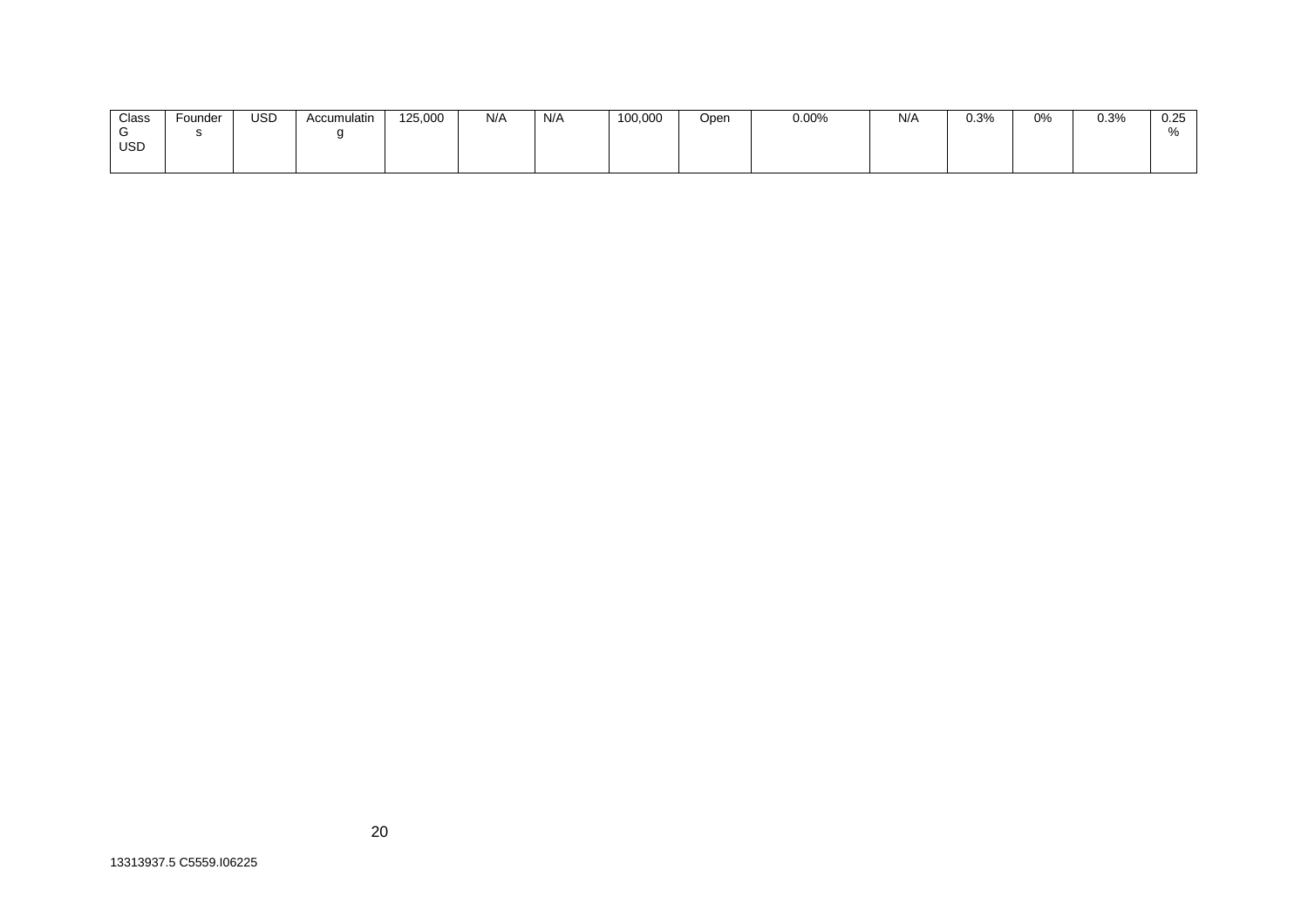| Class      | Founder | <b>USD</b> | Accumulatin | 125,000 | N/A | N/A | 100,000 | Open | 0.00% | N/A | 0.3% | 0% | 0.3% | በ ጋნ<br><b>U.ZU</b> |
|------------|---------|------------|-------------|---------|-----|-----|---------|------|-------|-----|------|----|------|---------------------|
|            |         |            |             |         |     |     |         |      |       |     |      |    |      |                     |
| <b>USD</b> |         |            |             |         |     |     |         |      |       |     |      |    |      |                     |
|            |         |            |             |         |     |     |         |      |       |     |      |    |      |                     |

13313937.5 C5559.I06225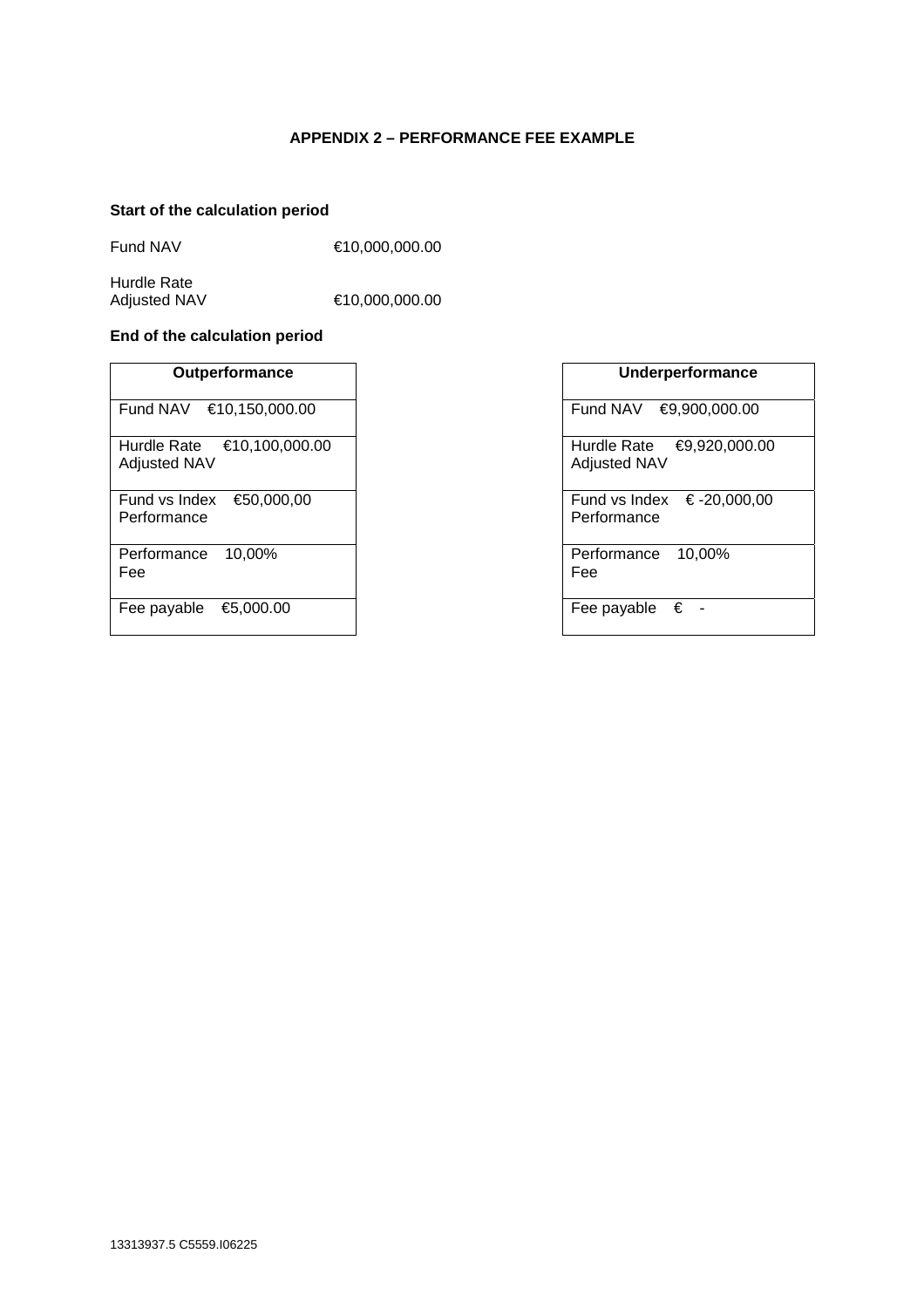# **APPENDIX 2 – PERFORMANCE FEE EXAMPLE**

# **Start of the calculation period**

Fund NAV €10,000,000.00

Hurdle Rate<br>Adjusted NAV

 $€10,000,000.00$ 

# **End of the calculation period**

| Outperformance                                       | Underperformance                                     |
|------------------------------------------------------|------------------------------------------------------|
| €10,150,000.00<br>Fund NAV                           | Fund NAV<br>€9,900,000.00                            |
| €10,100,000.00<br>Hurdle Rate<br><b>Adjusted NAV</b> | Hurdle Rate<br>$€9,920,000$ .<br><b>Adjusted NAV</b> |
| €50,000,00<br>Fund vs Index<br>Performance           | Fund vs Index $\epsilon$ -20,000,0<br>Performance    |
| Performance<br>10.00%<br>Fee                         | Performance<br>10.00%<br>Fee                         |
| €5,000.00<br>Fee payable                             | €<br>Fee payable                                     |

| <b>Outperformance</b>           | Underperformance                                    |
|---------------------------------|-----------------------------------------------------|
| ۹V<br>€10,150,000.00            | Fund NAV<br>€9,900,000.00                           |
| रate<br>€10,100,000.00<br>VAN t | Hurdle Rate<br>€9,920,000.00<br><b>Adjusted NAV</b> |
| €50,000,00<br>Index<br>ance     | Fund vs Index $\epsilon$ -20,000,00<br>Performance  |
| 10,00%<br>ance                  | 10,00%<br>Performance<br>Fee                        |
| able<br>€5,000.00               | € -<br>Fee payable                                  |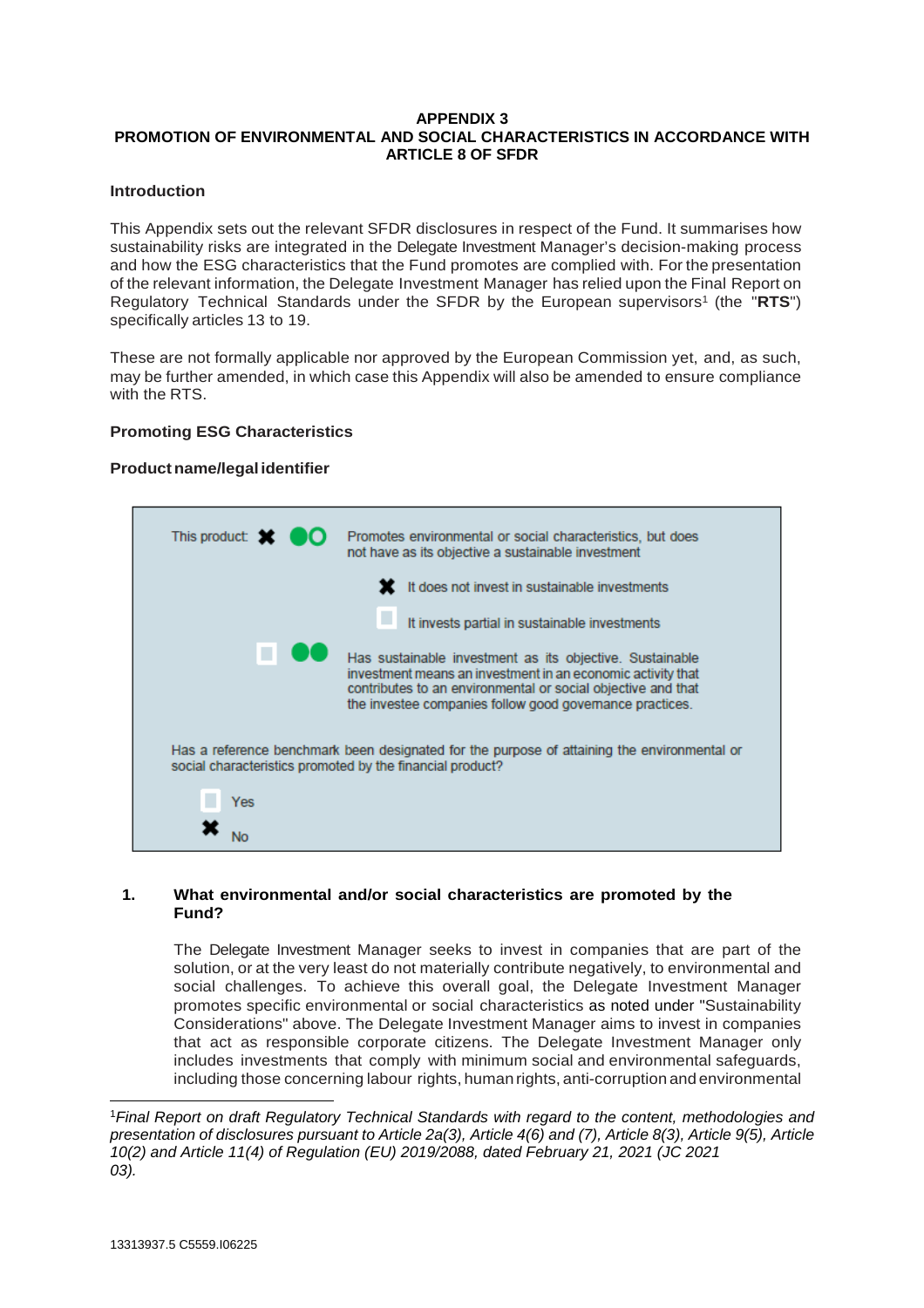# **APPENDIX 3 PROMOTION OF ENVIRONMENTAL AND SOCIAL CHARACTERISTICS IN ACCORDANCE WITH ARTICLE 8 OF SFDR**

# **Introduction**

This Appendix sets out the relevant SFDR disclosures in respect of the Fund. It summarises how sustainability risks are integrated in the Delegate Investment Manager's decision-making process and how the ESG characteristics that the Fund promotes are complied with. For the presentation of the relevant information, the Delegate Investment Manager has relied upon the Final Report on Regulatory Technical Standards under the SFDR by the European supervisors<sup>1</sup> (the "RTS") specifically articles 13 to 19.

These are not formally applicable nor approved by the European Commission yet, and, as such, may be further amended, in which case this Appendix will also be amended to ensure compliance with the RTS.

# **Promoting ESG Characteristics**

# **Product name/legal identifier**

| This product:                                             | Promotes environmental or social characteristics, but does<br>not have as its objective a sustainable investment                                                                                                                                    |
|-----------------------------------------------------------|-----------------------------------------------------------------------------------------------------------------------------------------------------------------------------------------------------------------------------------------------------|
|                                                           | It does not invest in sustainable investments                                                                                                                                                                                                       |
|                                                           | It invests partial in sustainable investments                                                                                                                                                                                                       |
|                                                           | Has sustainable investment as its objective. Sustainable<br>investment means an investment in an economic activity that<br>contributes to an environmental or social objective and that<br>the investee companies follow good governance practices. |
| social characteristics promoted by the financial product? | Has a reference benchmark been designated for the purpose of attaining the environmental or                                                                                                                                                         |
| Yes                                                       |                                                                                                                                                                                                                                                     |
|                                                           |                                                                                                                                                                                                                                                     |

# **1. What environmental and/or social characteristics are promoted by the Fund?**

The Delegate Investment Manager seeks to invest in companies that are part of the solution, or at the very least do not materially contribute negatively, to environmental and social challenges. To achieve this overall goal, the Delegate Investment Manager promotes specific environmental or social characteristics as noted under "Sustainability Considerations" above. The Delegate Investment Manager aims to invest in companies that act as responsible corporate citizens. The Delegate Investment Manager only includes investments that comply with minimum social and environmental safeguards, including those concerning labour rights, human rights, anti-corruption and environmental

l <sup>1</sup>*Final Report on draft Regulatory Technical Standards with regard to the content, methodologies and presentation of disclosures pursuant to Article 2a(3), Article 4(6) and (7), Article 8(3), Article 9(5), Article 10(2) and Article 11(4) of Regulation (EU) 2019/2088, dated February 21, 2021 (JC 2021 03).*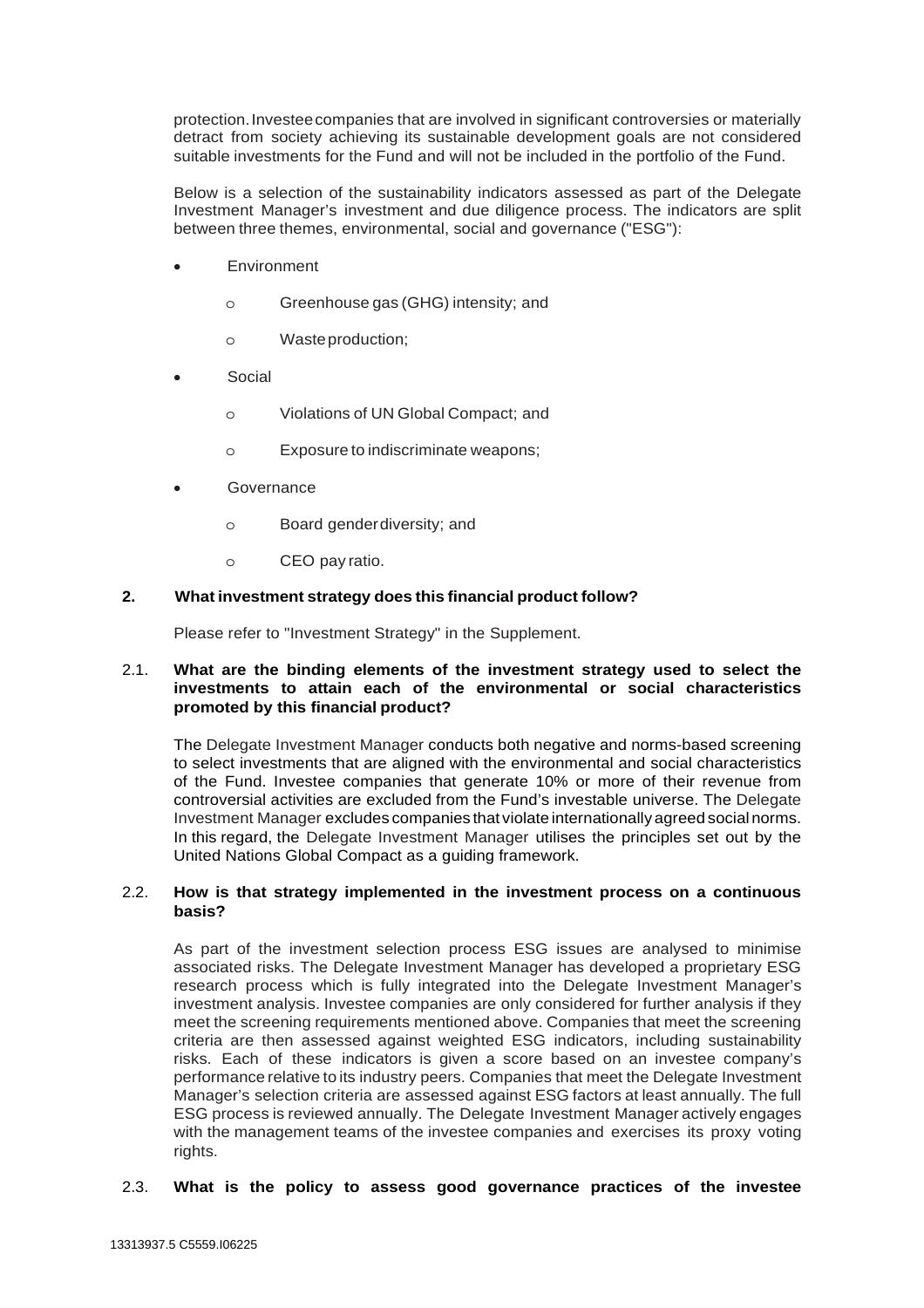protection. Investee companies that are involved in significant controversies or materially detract from society achieving its sustainable development goals are not considered suitable investments for the Fund and will not be included in the portfolio of the Fund.

Below is a selection of the sustainability indicators assessed as part of the Delegate Investment Manager's investment and due diligence process. The indicators are split between three themes, environmental, social and governance ("ESG"):

- **Environment** 
	- o Greenhouse gas (GHG) intensity; and
	- o Waste production;
- Social
	- o Violations of UN Global Compact; and
	- o Exposure to indiscriminate weapons;
- **Governance** 
	- o Board gender diversity; and
	- o CEO pay ratio.

# **2. What investment strategy does this financial product follow?**

Please refer to "Investment Strategy" in the Supplement.

# 2.1. **What are the binding elements of the investment strategy used to select the investments to attain each of the environmental or social characteristics promoted by this financial product?**

The Delegate Investment Manager conducts both negative and norms-based screening to select investments that are aligned with the environmental and social characteristics of the Fund. Investee companies that generate 10% or more of their revenue from controversial activities are excluded from the Fund's investable universe. The Delegate Investment Manager excludes companies that violate internationally agreed social norms. In this regard, the Delegate Investment Manager utilises the principles set out by the United Nations Global Compact as a guiding framework.

# 2.2. **How is that strategy implemented in the investment process on a continuous basis?**

As part of the investment selection process ESG issues are analysed to minimise associated risks. The Delegate Investment Manager has developed a proprietary ESG research process which is fully integrated into the Delegate Investment Manager's investment analysis. Investee companies are only considered for further analysis if they meet the screening requirements mentioned above. Companies that meet the screening criteria are then assessed against weighted ESG indicators, including sustainability risks. Each of these indicators is given a score based on an investee company's performance relative to its industry peers. Companies that meet the Delegate Investment Manager's selection criteria are assessed against ESG factors at least annually. The full ESG process is reviewed annually. The Delegate Investment Manager actively engages with the management teams of the investee companies and exercises its proxy voting rights.

#### 2.3. **What is the policy to assess good governance practices of the investee**